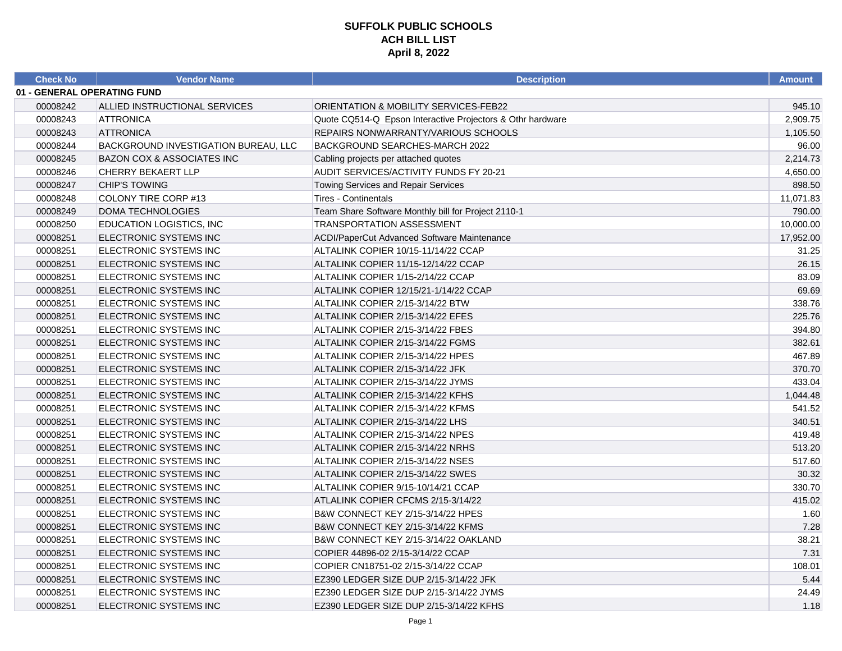| <b>Check No</b>             | <b>Vendor Name</b>                    | <b>Description</b>                                         | <b>Amount</b> |
|-----------------------------|---------------------------------------|------------------------------------------------------------|---------------|
| 01 - GENERAL OPERATING FUND |                                       |                                                            |               |
| 00008242                    | ALLIED INSTRUCTIONAL SERVICES         | ORIENTATION & MOBILITY SERVICES-FEB22                      | 945.10        |
| 00008243                    | <b>ATTRONICA</b>                      | Quote CQ514-Q Epson Interactive Projectors & Othr hardware | 2,909.75      |
| 00008243                    | <b>ATTRONICA</b>                      | REPAIRS NONWARRANTY/VARIOUS SCHOOLS                        | 1,105.50      |
| 00008244                    | BACKGROUND INVESTIGATION BUREAU, LLC  | <b>BACKGROUND SEARCHES-MARCH 2022</b>                      | 96.00         |
| 00008245                    | <b>BAZON COX &amp; ASSOCIATES INC</b> | Cabling projects per attached quotes                       | 2,214.73      |
| 00008246                    | <b>CHERRY BEKAERT LLP</b>             | AUDIT SERVICES/ACTIVITY FUNDS FY 20-21                     | 4,650.00      |
| 00008247                    | <b>CHIP'S TOWING</b>                  | Towing Services and Repair Services                        | 898.50        |
| 00008248                    | COLONY TIRE CORP #13                  | Tires - Continentals                                       | 11,071.83     |
| 00008249                    | DOMA TECHNOLOGIES                     | Team Share Software Monthly bill for Project 2110-1        | 790.00        |
| 00008250                    | EDUCATION LOGISTICS, INC.             | <b>TRANSPORTATION ASSESSMENT</b>                           | 10,000.00     |
| 00008251                    | ELECTRONIC SYSTEMS INC                | ACDI/PaperCut Advanced Software Maintenance                | 17,952.00     |
| 00008251                    | ELECTRONIC SYSTEMS INC                | ALTALINK COPIER 10/15-11/14/22 CCAP                        | 31.25         |
| 00008251                    | ELECTRONIC SYSTEMS INC                | ALTALINK COPIER 11/15-12/14/22 CCAP                        | 26.15         |
| 00008251                    | ELECTRONIC SYSTEMS INC                | ALTALINK COPIER 1/15-2/14/22 CCAP                          | 83.09         |
| 00008251                    | ELECTRONIC SYSTEMS INC                | ALTALINK COPIER 12/15/21-1/14/22 CCAP                      | 69.69         |
| 00008251                    | ELECTRONIC SYSTEMS INC                | ALTALINK COPIER 2/15-3/14/22 BTW                           | 338.76        |
| 00008251                    | ELECTRONIC SYSTEMS INC                | ALTALINK COPIER 2/15-3/14/22 EFES                          | 225.76        |
| 00008251                    | ELECTRONIC SYSTEMS INC                | ALTALINK COPIER 2/15-3/14/22 FBES                          | 394.80        |
| 00008251                    | ELECTRONIC SYSTEMS INC                | ALTALINK COPIER 2/15-3/14/22 FGMS                          | 382.61        |
| 00008251                    | ELECTRONIC SYSTEMS INC                | ALTALINK COPIER 2/15-3/14/22 HPES                          | 467.89        |
| 00008251                    | ELECTRONIC SYSTEMS INC                | ALTALINK COPIER 2/15-3/14/22 JFK                           | 370.70        |
| 00008251                    | ELECTRONIC SYSTEMS INC                | ALTALINK COPIER 2/15-3/14/22 JYMS                          | 433.04        |
| 00008251                    | ELECTRONIC SYSTEMS INC                | ALTALINK COPIER 2/15-3/14/22 KFHS                          | 1,044.48      |
| 00008251                    | ELECTRONIC SYSTEMS INC                | ALTALINK COPIER 2/15-3/14/22 KFMS                          | 541.52        |
| 00008251                    | ELECTRONIC SYSTEMS INC                | ALTALINK COPIER 2/15-3/14/22 LHS                           | 340.51        |
| 00008251                    | ELECTRONIC SYSTEMS INC                | ALTALINK COPIER 2/15-3/14/22 NPES                          | 419.48        |
| 00008251                    | ELECTRONIC SYSTEMS INC                | ALTALINK COPIER 2/15-3/14/22 NRHS                          | 513.20        |
| 00008251                    | ELECTRONIC SYSTEMS INC                | ALTALINK COPIER 2/15-3/14/22 NSES                          | 517.60        |
| 00008251                    | ELECTRONIC SYSTEMS INC                | ALTALINK COPIER 2/15-3/14/22 SWES                          | 30.32         |
| 00008251                    | ELECTRONIC SYSTEMS INC                | ALTALINK COPIER 9/15-10/14/21 CCAP                         | 330.70        |
| 00008251                    | ELECTRONIC SYSTEMS INC                | ATLALINK COPIER CFCMS 2/15-3/14/22                         | 415.02        |
| 00008251                    | ELECTRONIC SYSTEMS INC                | B&W CONNECT KEY 2/15-3/14/22 HPES                          | 1.60          |
| 00008251                    | ELECTRONIC SYSTEMS INC                | B&W CONNECT KEY 2/15-3/14/22 KFMS                          | 7.28          |
| 00008251                    | ELECTRONIC SYSTEMS INC                | B&W CONNECT KEY 2/15-3/14/22 OAKLAND                       | 38.21         |
| 00008251                    | ELECTRONIC SYSTEMS INC                | COPIER 44896-02 2/15-3/14/22 CCAP                          | 7.31          |
| 00008251                    | ELECTRONIC SYSTEMS INC                | COPIER CN18751-02 2/15-3/14/22 CCAP                        | 108.01        |
| 00008251                    | ELECTRONIC SYSTEMS INC                | EZ390 LEDGER SIZE DUP 2/15-3/14/22 JFK                     | 5.44          |
| 00008251                    | ELECTRONIC SYSTEMS INC                | EZ390 LEDGER SIZE DUP 2/15-3/14/22 JYMS                    | 24.49         |
| 00008251                    | ELECTRONIC SYSTEMS INC                | EZ390 LEDGER SIZE DUP 2/15-3/14/22 KFHS                    | 1.18          |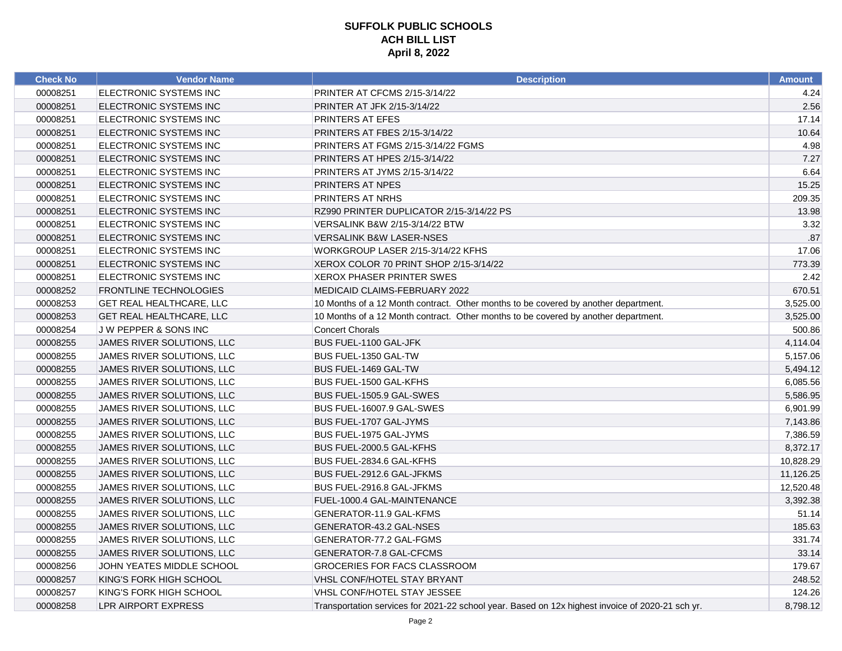| <b>Check No</b> | <b>Vendor Name</b>              | <b>Description</b>                                                                               | <b>Amount</b> |
|-----------------|---------------------------------|--------------------------------------------------------------------------------------------------|---------------|
| 00008251        | ELECTRONIC SYSTEMS INC          | PRINTER AT CFCMS 2/15-3/14/22                                                                    | 4.24          |
| 00008251        | ELECTRONIC SYSTEMS INC          | PRINTER AT JFK 2/15-3/14/22                                                                      | 2.56          |
| 00008251        | ELECTRONIC SYSTEMS INC          | PRINTERS AT EFES                                                                                 | 17.14         |
| 00008251        | ELECTRONIC SYSTEMS INC          | PRINTERS AT FBES 2/15-3/14/22                                                                    | 10.64         |
| 00008251        | ELECTRONIC SYSTEMS INC          | PRINTERS AT FGMS 2/15-3/14/22 FGMS                                                               | 4.98          |
| 00008251        | ELECTRONIC SYSTEMS INC          | PRINTERS AT HPES 2/15-3/14/22                                                                    | 7.27          |
| 00008251        | ELECTRONIC SYSTEMS INC          | PRINTERS AT JYMS 2/15-3/14/22                                                                    | 6.64          |
| 00008251        | ELECTRONIC SYSTEMS INC          | PRINTERS AT NPES                                                                                 | 15.25         |
| 00008251        | ELECTRONIC SYSTEMS INC          | PRINTERS AT NRHS                                                                                 | 209.35        |
| 00008251        | ELECTRONIC SYSTEMS INC          | RZ990 PRINTER DUPLICATOR 2/15-3/14/22 PS                                                         | 13.98         |
| 00008251        | ELECTRONIC SYSTEMS INC          | VERSALINK B&W 2/15-3/14/22 BTW                                                                   | 3.32          |
| 00008251        | ELECTRONIC SYSTEMS INC          | <b>VERSALINK B&amp;W LASER-NSES</b>                                                              | .87           |
| 00008251        | ELECTRONIC SYSTEMS INC          | WORKGROUP LASER 2/15-3/14/22 KFHS                                                                | 17.06         |
| 00008251        | ELECTRONIC SYSTEMS INC          | XEROX COLOR 70 PRINT SHOP 2/15-3/14/22                                                           | 773.39        |
| 00008251        | ELECTRONIC SYSTEMS INC          | <b>XEROX PHASER PRINTER SWES</b>                                                                 | 2.42          |
| 00008252        | <b>FRONTLINE TECHNOLOGIES</b>   | MEDICAID CLAIMS-FEBRUARY 2022                                                                    | 670.51        |
| 00008253        | <b>GET REAL HEALTHCARE, LLC</b> | 10 Months of a 12 Month contract. Other months to be covered by another department.              | 3,525.00      |
| 00008253        | <b>GET REAL HEALTHCARE, LLC</b> | 10 Months of a 12 Month contract. Other months to be covered by another department.              | 3,525.00      |
| 00008254        | J W PEPPER & SONS INC           | <b>Concert Chorals</b>                                                                           | 500.86        |
| 00008255        | JAMES RIVER SOLUTIONS, LLC      | BUS FUEL-1100 GAL-JFK                                                                            | 4,114.04      |
| 00008255        | JAMES RIVER SOLUTIONS, LLC      | BUS FUEL-1350 GAL-TW                                                                             | 5,157.06      |
| 00008255        | JAMES RIVER SOLUTIONS, LLC      | BUS FUEL-1469 GAL-TW                                                                             | 5,494.12      |
| 00008255        | JAMES RIVER SOLUTIONS, LLC      | BUS FUEL-1500 GAL-KFHS                                                                           | 6,085.56      |
| 00008255        | JAMES RIVER SOLUTIONS, LLC      | BUS FUEL-1505.9 GAL-SWES                                                                         | 5,586.95      |
| 00008255        | JAMES RIVER SOLUTIONS, LLC      | BUS FUEL-16007.9 GAL-SWES                                                                        | 6,901.99      |
| 00008255        | JAMES RIVER SOLUTIONS, LLC      | BUS FUEL-1707 GAL-JYMS                                                                           | 7,143.86      |
| 00008255        | JAMES RIVER SOLUTIONS, LLC      | BUS FUEL-1975 GAL-JYMS                                                                           | 7,386.59      |
| 00008255        | JAMES RIVER SOLUTIONS, LLC      | BUS FUEL-2000.5 GAL-KFHS                                                                         | 8,372.17      |
| 00008255        | JAMES RIVER SOLUTIONS, LLC      | BUS FUEL-2834.6 GAL-KFHS                                                                         | 10,828.29     |
| 00008255        | JAMES RIVER SOLUTIONS, LLC      | BUS FUEL-2912.6 GAL-JFKMS                                                                        | 11,126.25     |
| 00008255        | JAMES RIVER SOLUTIONS, LLC      | BUS FUEL-2916.8 GAL-JFKMS                                                                        | 12,520.48     |
| 00008255        | JAMES RIVER SOLUTIONS, LLC      | FUEL-1000.4 GAL-MAINTENANCE                                                                      | 3,392.38      |
| 00008255        | JAMES RIVER SOLUTIONS, LLC      | GENERATOR-11.9 GAL-KFMS                                                                          | 51.14         |
| 00008255        | JAMES RIVER SOLUTIONS, LLC      | GENERATOR-43.2 GAL-NSES                                                                          | 185.63        |
| 00008255        | JAMES RIVER SOLUTIONS, LLC      | GENERATOR-77.2 GAL-FGMS                                                                          | 331.74        |
| 00008255        | JAMES RIVER SOLUTIONS, LLC      | GENERATOR-7.8 GAL-CFCMS                                                                          | 33.14         |
| 00008256        | JOHN YEATES MIDDLE SCHOOL       | GROCERIES FOR FACS CLASSROOM                                                                     | 179.67        |
| 00008257        | KING'S FORK HIGH SCHOOL         | <b>VHSL CONF/HOTEL STAY BRYANT</b>                                                               | 248.52        |
| 00008257        | KING'S FORK HIGH SCHOOL         | VHSL CONF/HOTEL STAY JESSEE                                                                      | 124.26        |
| 00008258        | <b>LPR AIRPORT EXPRESS</b>      | Transportation services for 2021-22 school year. Based on 12x highest invoice of 2020-21 sch yr. | 8,798.12      |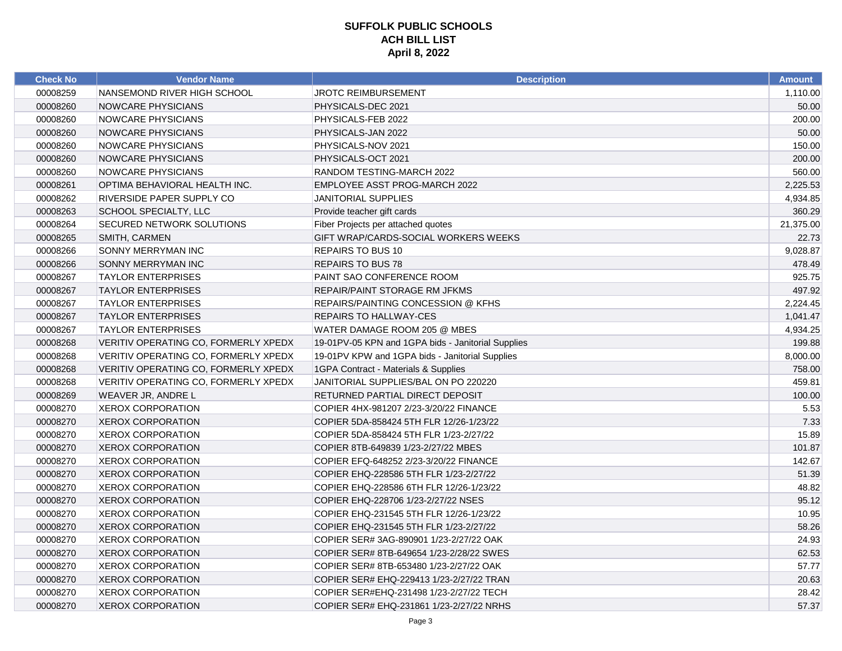| <b>Check No</b> | <b>Vendor Name</b>                   | <b>Description</b>                                 | <b>Amount</b> |
|-----------------|--------------------------------------|----------------------------------------------------|---------------|
| 00008259        | NANSEMOND RIVER HIGH SCHOOL          | JROTC REIMBURSEMENT                                | 1,110.00      |
| 00008260        | <b>NOWCARE PHYSICIANS</b>            | PHYSICALS-DEC 2021                                 | 50.00         |
| 00008260        | <b>NOWCARE PHYSICIANS</b>            | PHYSICALS-FEB 2022                                 | 200.00        |
| 00008260        | NOWCARE PHYSICIANS                   | PHYSICALS-JAN 2022                                 | 50.00         |
| 00008260        | <b>NOWCARE PHYSICIANS</b>            | PHYSICALS-NOV 2021                                 | 150.00        |
| 00008260        | NOWCARE PHYSICIANS                   | PHYSICALS-OCT 2021                                 | 200.00        |
| 00008260        | NOWCARE PHYSICIANS                   | RANDOM TESTING-MARCH 2022                          | 560.00        |
| 00008261        | OPTIMA BEHAVIORAL HEALTH INC.        | EMPLOYEE ASST PROG-MARCH 2022                      | 2,225.53      |
| 00008262        | RIVERSIDE PAPER SUPPLY CO            | <b>JANITORIAL SUPPLIES</b>                         | 4,934.85      |
| 00008263        | SCHOOL SPECIALTY, LLC                | Provide teacher gift cards                         | 360.29        |
| 00008264        | SECURED NETWORK SOLUTIONS            | Fiber Projects per attached quotes                 | 21,375.00     |
| 00008265        | SMITH, CARMEN                        | GIFT WRAP/CARDS-SOCIAL WORKERS WEEKS               | 22.73         |
| 00008266        | SONNY MERRYMAN INC                   | <b>REPAIRS TO BUS 10</b>                           | 9,028.87      |
| 00008266        | SONNY MERRYMAN INC                   | <b>REPAIRS TO BUS 78</b>                           | 478.49        |
| 00008267        | <b>TAYLOR ENTERPRISES</b>            | PAINT SAO CONFERENCE ROOM                          | 925.75        |
| 00008267        | <b>TAYLOR ENTERPRISES</b>            | REPAIR/PAINT STORAGE RM JFKMS                      | 497.92        |
| 00008267        | <b>TAYLOR ENTERPRISES</b>            | REPAIRS/PAINTING CONCESSION @ KFHS                 | 2,224.45      |
| 00008267        | <b>TAYLOR ENTERPRISES</b>            | <b>REPAIRS TO HALLWAY-CES</b>                      | 1,041.47      |
| 00008267        | <b>TAYLOR ENTERPRISES</b>            | WATER DAMAGE ROOM 205 @ MBES                       | 4,934.25      |
| 00008268        | VERITIV OPERATING CO, FORMERLY XPEDX | 19-01PV-05 KPN and 1GPA bids - Janitorial Supplies | 199.88        |
| 00008268        | VERITIV OPERATING CO, FORMERLY XPEDX | 19-01PV KPW and 1GPA bids - Janitorial Supplies    | 8,000.00      |
| 00008268        | VERITIV OPERATING CO, FORMERLY XPEDX | 1GPA Contract - Materials & Supplies               | 758.00        |
| 00008268        | VERITIV OPERATING CO, FORMERLY XPEDX | JANITORIAL SUPPLIES/BAL ON PO 220220               | 459.81        |
| 00008269        | WEAVER JR, ANDRE L                   | RETURNED PARTIAL DIRECT DEPOSIT                    | 100.00        |
| 00008270        | <b>XEROX CORPORATION</b>             | COPIER 4HX-981207 2/23-3/20/22 FINANCE             | 5.53          |
| 00008270        | <b>XEROX CORPORATION</b>             | COPIER 5DA-858424 5TH FLR 12/26-1/23/22            | 7.33          |
| 00008270        | <b>XEROX CORPORATION</b>             | COPIER 5DA-858424 5TH FLR 1/23-2/27/22             | 15.89         |
| 00008270        | <b>XEROX CORPORATION</b>             | COPIER 8TB-649839 1/23-2/27/22 MBES                | 101.87        |
| 00008270        | <b>XEROX CORPORATION</b>             | COPIER EFQ-648252 2/23-3/20/22 FINANCE             | 142.67        |
| 00008270        | <b>XEROX CORPORATION</b>             | COPIER EHQ-228586 5TH FLR 1/23-2/27/22             | 51.39         |
| 00008270        | <b>XEROX CORPORATION</b>             | COPIER EHQ-228586 6TH FLR 12/26-1/23/22            | 48.82         |
| 00008270        | <b>XEROX CORPORATION</b>             | COPIER EHQ-228706 1/23-2/27/22 NSES                | 95.12         |
| 00008270        | <b>XEROX CORPORATION</b>             | COPIER EHQ-231545 5TH FLR 12/26-1/23/22            | 10.95         |
| 00008270        | <b>XEROX CORPORATION</b>             | COPIER EHQ-231545 5TH FLR 1/23-2/27/22             | 58.26         |
| 00008270        | <b>XEROX CORPORATION</b>             | COPIER SER# 3AG-890901 1/23-2/27/22 OAK            | 24.93         |
| 00008270        | <b>XEROX CORPORATION</b>             | COPIER SER# 8TB-649654 1/23-2/28/22 SWES           | 62.53         |
| 00008270        | XEROX CORPORATION                    | COPIER SER# 8TB-653480 1/23-2/27/22 OAK            | 57.77         |
| 00008270        | <b>XEROX CORPORATION</b>             | COPIER SER# EHQ-229413 1/23-2/27/22 TRAN           | 20.63         |
| 00008270        | <b>XEROX CORPORATION</b>             | COPIER SER#EHQ-231498 1/23-2/27/22 TECH            | 28.42         |
| 00008270        | <b>XEROX CORPORATION</b>             | COPIER SER# EHQ-231861 1/23-2/27/22 NRHS           | 57.37         |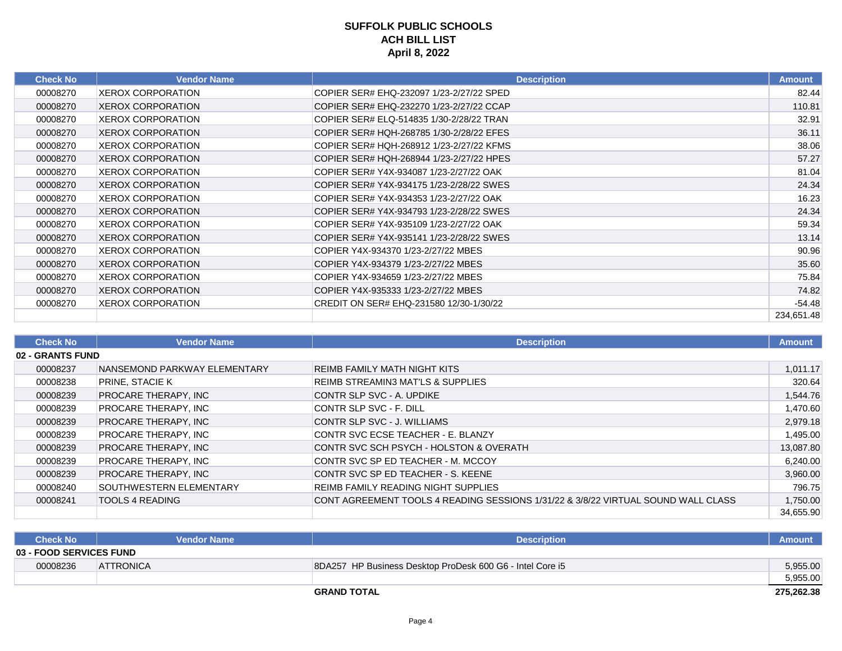| <b>Check No</b> | <b>Vendor Name</b>       | <b>Description</b>                       | <b>Amount</b> |
|-----------------|--------------------------|------------------------------------------|---------------|
| 00008270        | <b>XEROX CORPORATION</b> | COPIER SER# EHQ-232097 1/23-2/27/22 SPED | 82.44         |
| 00008270        | <b>XEROX CORPORATION</b> | COPIER SER# EHQ-232270 1/23-2/27/22 CCAP | 110.81        |
| 00008270        | <b>XEROX CORPORATION</b> | COPIER SER# ELQ-514835 1/30-2/28/22 TRAN | 32.91         |
| 00008270        | <b>XEROX CORPORATION</b> | COPIER SER# HQH-268785 1/30-2/28/22 EFES | 36.11         |
| 00008270        | <b>XEROX CORPORATION</b> | COPIER SER# HQH-268912 1/23-2/27/22 KFMS | 38.06         |
| 00008270        | <b>XEROX CORPORATION</b> | COPIER SER# HQH-268944 1/23-2/27/22 HPES | 57.27         |
| 00008270        | <b>XEROX CORPORATION</b> | COPIER SER# Y4X-934087 1/23-2/27/22 OAK  | 81.04         |
| 00008270        | <b>XEROX CORPORATION</b> | COPIER SER# Y4X-934175 1/23-2/28/22 SWES | 24.34         |
| 00008270        | <b>XEROX CORPORATION</b> | COPIER SER# Y4X-934353 1/23-2/27/22 OAK  | 16.23         |
| 00008270        | <b>XEROX CORPORATION</b> | COPIER SER# Y4X-934793 1/23-2/28/22 SWES | 24.34         |
| 00008270        | <b>XEROX CORPORATION</b> | COPIER SER# Y4X-935109 1/23-2/27/22 OAK  | 59.34         |
| 00008270        | <b>XEROX CORPORATION</b> | COPIER SER# Y4X-935141 1/23-2/28/22 SWES | 13.14         |
| 00008270        | <b>XEROX CORPORATION</b> | COPIER Y4X-934370 1/23-2/27/22 MBES      | 90.96         |
| 00008270        | <b>XEROX CORPORATION</b> | COPIER Y4X-934379 1/23-2/27/22 MBES      | 35.60         |
| 00008270        | <b>XEROX CORPORATION</b> | COPIER Y4X-934659 1/23-2/27/22 MBES      | 75.84         |
| 00008270        | <b>XEROX CORPORATION</b> | COPIER Y4X-935333 1/23-2/27/22 MBES      | 74.82         |
| 00008270        | <b>XEROX CORPORATION</b> | CREDIT ON SER# EHQ-231580 12/30-1/30/22  | $-54.48$      |
|                 |                          |                                          | 234,651.48    |

| <b>Check No</b>         | <b>Vendor Name</b>           | <b>Description</b>                                                                | <b>Amount</b> |
|-------------------------|------------------------------|-----------------------------------------------------------------------------------|---------------|
| <b>02 - GRANTS FUND</b> |                              |                                                                                   |               |
| 00008237                | NANSEMOND PARKWAY ELEMENTARY | REIMB FAMILY MATH NIGHT KITS                                                      | 1,011.17      |
| 00008238                | PRINE, STACIE K              | REIMB STREAMIN3 MAT'LS & SUPPLIES                                                 | 320.64        |
| 00008239                | <b>PROCARE THERAPY, INC</b>  | ICONTR SLP SVC - A. UPDIKE                                                        | 1,544.76      |
| 00008239                | PROCARE THERAPY, INC         | CONTR SLP SVC - F. DILL                                                           | 1,470.60      |
| 00008239                | <b>PROCARE THERAPY, INC</b>  | CONTR SLP SVC - J. WILLIAMS                                                       | 2,979.18      |
| 00008239                | <b>PROCARE THERAPY. INC</b>  | CONTR SVC ECSE TEACHER - E. BLANZY                                                | 1,495.00      |
| 00008239                | PROCARE THERAPY, INC         | CONTR SVC SCH PSYCH - HOLSTON & OVERATH                                           | 13,087.80     |
| 00008239                | <b>PROCARE THERAPY. INC</b>  | CONTR SVC SP ED TEACHER - M. MCCOY                                                | 6,240.00      |
| 00008239                | <b>PROCARE THERAPY. INC</b>  | CONTR SVC SP ED TEACHER - S. KEENE                                                | 3,960.00      |
| 00008240                | SOUTHWESTERN ELEMENTARY      | REIMB FAMILY READING NIGHT SUPPLIES                                               | 796.75        |
| 00008241                | <b>TOOLS 4 READING</b>       | CONT AGREEMENT TOOLS 4 READING SESSIONS 1/31/22 & 3/8/22 VIRTUAL SOUND WALL CLASS | 1,750.00      |
|                         |                              |                                                                                   | 34,655.90     |

| <b>Check No</b>                | <b>Vendor Name</b> | <b>Description</b>                                        | <b>Amount</b> |
|--------------------------------|--------------------|-----------------------------------------------------------|---------------|
| <b>03 - FOOD SERVICES FUND</b> |                    |                                                           |               |
| 00008236                       | <b>ATTRONICA</b>   | 8DA257 HP Business Desktop ProDesk 600 G6 - Intel Core i5 | 5,955.00      |
|                                |                    |                                                           | 5,955.00      |
|                                |                    | <b>GRAND TOTAL</b>                                        | 275,262.38    |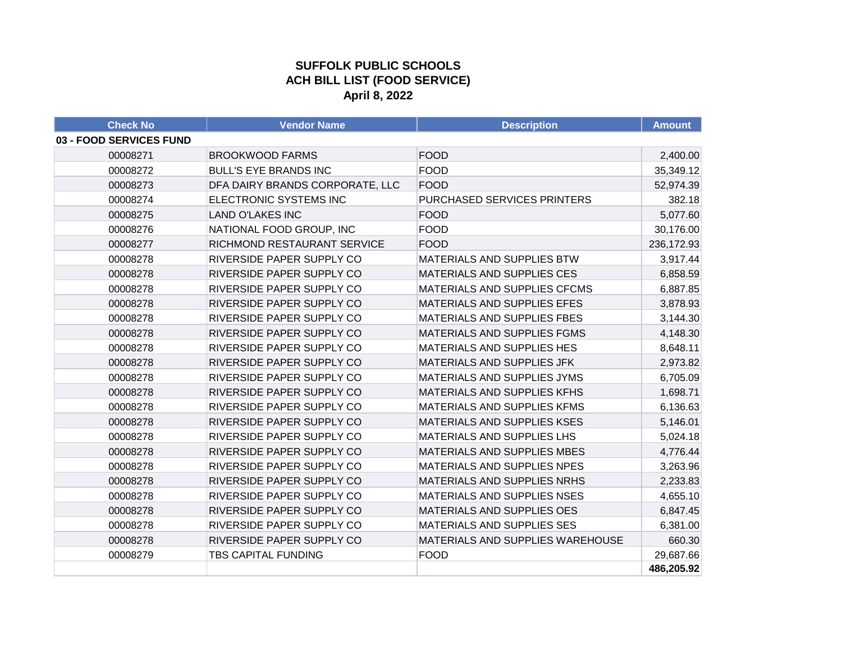#### **SUFFOLK PUBLIC SCHOOLS ACH BILL LIST (FOOD SERVICE) April 8, 2022**

| <b>Check No</b>         | <b>Vendor Name</b>              | <b>Description</b>                 | <b>Amount</b> |
|-------------------------|---------------------------------|------------------------------------|---------------|
| 03 - FOOD SERVICES FUND |                                 |                                    |               |
| 00008271                | <b>BROOKWOOD FARMS</b>          | <b>FOOD</b>                        | 2,400.00      |
| 00008272                | <b>BULL'S EYE BRANDS INC</b>    | <b>FOOD</b>                        | 35,349.12     |
| 00008273                | DFA DAIRY BRANDS CORPORATE, LLC | <b>FOOD</b>                        | 52,974.39     |
| 00008274                | ELECTRONIC SYSTEMS INC          | PURCHASED SERVICES PRINTERS        | 382.18        |
| 00008275                | <b>LAND O'LAKES INC</b>         | <b>FOOD</b>                        | 5,077.60      |
| 00008276                | NATIONAL FOOD GROUP, INC        | <b>FOOD</b>                        | 30,176.00     |
| 00008277                | RICHMOND RESTAURANT SERVICE     | <b>FOOD</b>                        | 236,172.93    |
| 00008278                | RIVERSIDE PAPER SUPPLY CO       | MATERIALS AND SUPPLIES BTW         | 3,917.44      |
| 00008278                | RIVERSIDE PAPER SUPPLY CO       | MATERIALS AND SUPPLIES CES         | 6,858.59      |
| 00008278                | RIVERSIDE PAPER SUPPLY CO       | MATERIALS AND SUPPLIES CFCMS       | 6,887.85      |
| 00008278                | RIVERSIDE PAPER SUPPLY CO       | MATERIALS AND SUPPLIES EFES        | 3,878.93      |
| 00008278                | RIVERSIDE PAPER SUPPLY CO       | <b>MATERIALS AND SUPPLIES FBES</b> | 3,144.30      |
| 00008278                | RIVERSIDE PAPER SUPPLY CO       | <b>MATERIALS AND SUPPLIES FGMS</b> | 4,148.30      |
| 00008278                | RIVERSIDE PAPER SUPPLY CO       | MATERIALS AND SUPPLIES HES         | 8,648.11      |
| 00008278                | RIVERSIDE PAPER SUPPLY CO       | MATERIALS AND SUPPLIES JFK         | 2,973.82      |
| 00008278                | RIVERSIDE PAPER SUPPLY CO       | MATERIALS AND SUPPLIES JYMS        | 6,705.09      |
| 00008278                | RIVERSIDE PAPER SUPPLY CO       | MATERIALS AND SUPPLIES KFHS        | 1,698.71      |
| 00008278                | RIVERSIDE PAPER SUPPLY CO       | MATERIALS AND SUPPLIES KFMS        | 6,136.63      |
| 00008278                | RIVERSIDE PAPER SUPPLY CO       | <b>MATERIALS AND SUPPLIES KSES</b> | 5,146.01      |
| 00008278                | RIVERSIDE PAPER SUPPLY CO       | MATERIALS AND SUPPLIES LHS         | 5,024.18      |
| 00008278                | RIVERSIDE PAPER SUPPLY CO       | <b>MATERIALS AND SUPPLIES MBES</b> | 4,776.44      |
| 00008278                | RIVERSIDE PAPER SUPPLY CO       | MATERIALS AND SUPPLIES NPES        | 3,263.96      |
| 00008278                | RIVERSIDE PAPER SUPPLY CO       | MATERIALS AND SUPPLIES NRHS        | 2,233.83      |
| 00008278                | RIVERSIDE PAPER SUPPLY CO       | MATERIALS AND SUPPLIES NSES        | 4,655.10      |
| 00008278                | RIVERSIDE PAPER SUPPLY CO       | MATERIALS AND SUPPLIES OES         | 6,847.45      |
| 00008278                | RIVERSIDE PAPER SUPPLY CO       | MATERIALS AND SUPPLIES SES         | 6,381.00      |
| 00008278                | RIVERSIDE PAPER SUPPLY CO       | MATERIALS AND SUPPLIES WAREHOUSE   | 660.30        |
| 00008279                | <b>TBS CAPITAL FUNDING</b>      | <b>FOOD</b>                        | 29,687.66     |
|                         |                                 |                                    | 486,205.92    |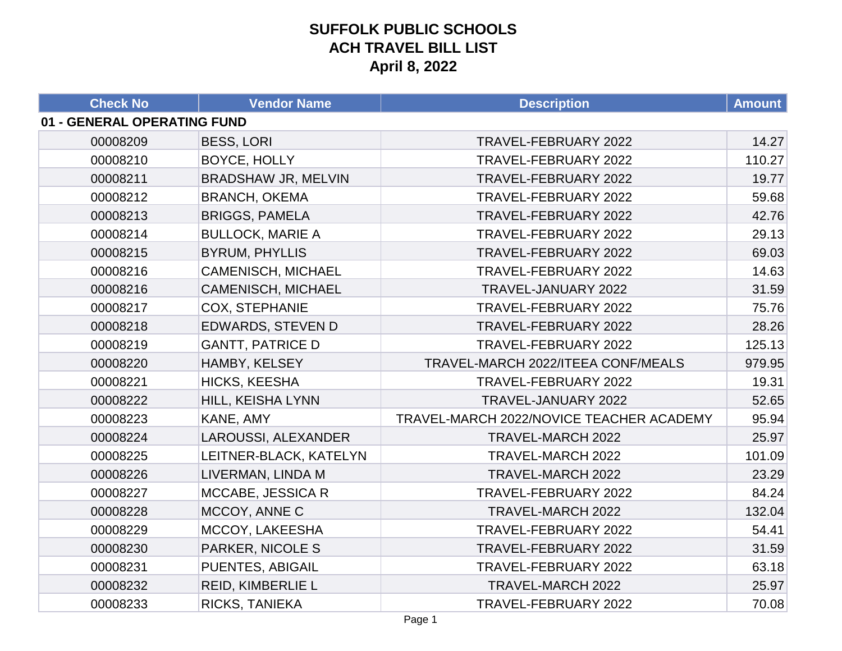| <b>Check No</b>             | <b>Vendor Name</b>         | <b>Description</b>                       | <b>Amount</b> |
|-----------------------------|----------------------------|------------------------------------------|---------------|
| 01 - GENERAL OPERATING FUND |                            |                                          |               |
| 00008209                    | <b>BESS, LORI</b>          | TRAVEL-FEBRUARY 2022                     | 14.27         |
| 00008210                    | BOYCE, HOLLY               | TRAVEL-FEBRUARY 2022                     | 110.27        |
| 00008211                    | <b>BRADSHAW JR, MELVIN</b> | TRAVEL-FEBRUARY 2022                     | 19.77         |
| 00008212                    | <b>BRANCH, OKEMA</b>       | TRAVEL-FEBRUARY 2022                     | 59.68         |
| 00008213                    | <b>BRIGGS, PAMELA</b>      | TRAVEL-FEBRUARY 2022                     | 42.76         |
| 00008214                    | <b>BULLOCK, MARIE A</b>    | TRAVEL-FEBRUARY 2022                     | 29.13         |
| 00008215                    | <b>BYRUM, PHYLLIS</b>      | TRAVEL-FEBRUARY 2022                     | 69.03         |
| 00008216                    | <b>CAMENISCH, MICHAEL</b>  | TRAVEL-FEBRUARY 2022                     | 14.63         |
| 00008216                    | <b>CAMENISCH, MICHAEL</b>  | TRAVEL-JANUARY 2022                      | 31.59         |
| 00008217                    | <b>COX, STEPHANIE</b>      | TRAVEL-FEBRUARY 2022                     | 75.76         |
| 00008218                    | EDWARDS, STEVEN D          | TRAVEL-FEBRUARY 2022                     | 28.26         |
| 00008219                    | <b>GANTT, PATRICE D</b>    | TRAVEL-FEBRUARY 2022                     | 125.13        |
| 00008220                    | HAMBY, KELSEY              | TRAVEL-MARCH 2022/ITEEA CONF/MEALS       | 979.95        |
| 00008221                    | HICKS, KEESHA              | TRAVEL-FEBRUARY 2022                     | 19.31         |
| 00008222                    | HILL, KEISHA LYNN          | TRAVEL-JANUARY 2022                      | 52.65         |
| 00008223                    | KANE, AMY                  | TRAVEL-MARCH 2022/NOVICE TEACHER ACADEMY | 95.94         |
| 00008224                    | LAROUSSI, ALEXANDER        | TRAVEL-MARCH 2022                        | 25.97         |
| 00008225                    | LEITNER-BLACK, KATELYN     | TRAVEL-MARCH 2022                        | 101.09        |
| 00008226                    | LIVERMAN, LINDA M          | TRAVEL-MARCH 2022                        | 23.29         |
| 00008227                    | MCCABE, JESSICA R          | TRAVEL-FEBRUARY 2022                     | 84.24         |
| 00008228                    | MCCOY, ANNE C              | TRAVEL-MARCH 2022                        | 132.04        |
| 00008229                    | MCCOY, LAKEESHA            | TRAVEL-FEBRUARY 2022                     | 54.41         |
| 00008230                    | PARKER, NICOLE S           | TRAVEL-FEBRUARY 2022                     | 31.59         |
| 00008231                    | PUENTES, ABIGAIL           | TRAVEL-FEBRUARY 2022                     | 63.18         |
| 00008232                    | REID, KIMBERLIE L          | TRAVEL-MARCH 2022                        | 25.97         |
| 00008233                    | RICKS, TANIEKA             | TRAVEL-FEBRUARY 2022                     | 70.08         |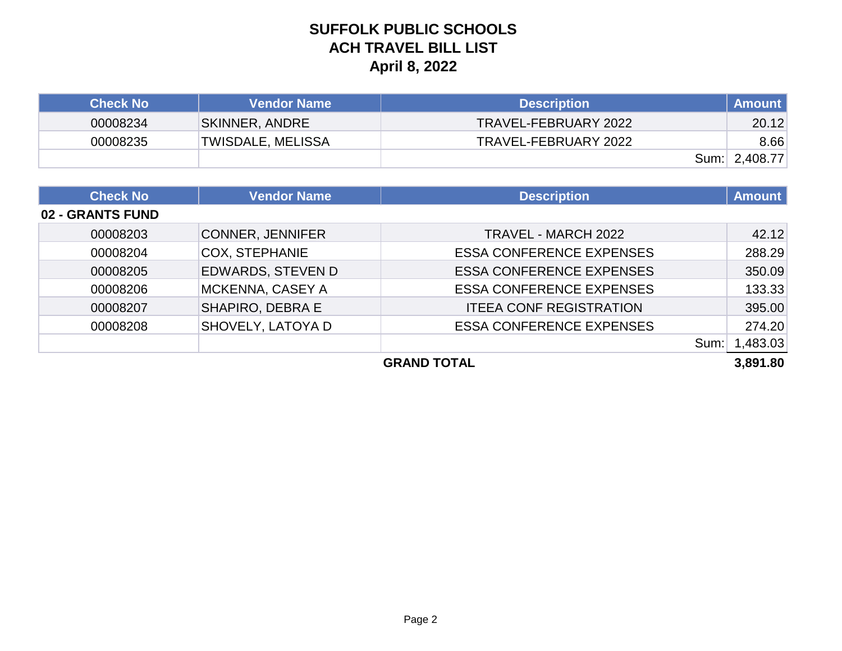| <b>Check No</b> | <b>Vendor Name</b> | <b>Description</b>   | <b>Amount</b> |
|-----------------|--------------------|----------------------|---------------|
| 00008234        | SKINNER, ANDRE     | TRAVEL-FEBRUARY 2022 | 20.12         |
| 00008235        | TWISDALE, MELISSA  | TRAVEL-FEBRUARY 2022 | 8.66          |
|                 |                    |                      | Sum: 2,408.77 |

| <b>Check No</b>  | <b>Vendor Name</b>       | <b>Description</b>              | <b>Amount</b> |
|------------------|--------------------------|---------------------------------|---------------|
| 02 - GRANTS FUND |                          |                                 |               |
| 00008203         | <b>CONNER, JENNIFER</b>  | TRAVEL - MARCH 2022             | 42.12         |
| 00008204         | <b>COX, STEPHANIE</b>    | <b>ESSA CONFERENCE EXPENSES</b> | 288.29        |
| 00008205         | <b>EDWARDS, STEVEN D</b> | <b>ESSA CONFERENCE EXPENSES</b> | 350.09        |
| 00008206         | <b>MCKENNA, CASEY A</b>  | <b>ESSA CONFERENCE EXPENSES</b> | 133.33        |
| 00008207         | SHAPIRO, DEBRA E         | <b>ITEEA CONF REGISTRATION</b>  | 395.00        |
| 00008208         | SHOVELY, LATOYA D        | <b>ESSA CONFERENCE EXPENSES</b> | 274.20        |
|                  |                          | Sum:                            | ,483.03       |
|                  |                          | <b>GRAND TOTAL</b>              | 3,891.80      |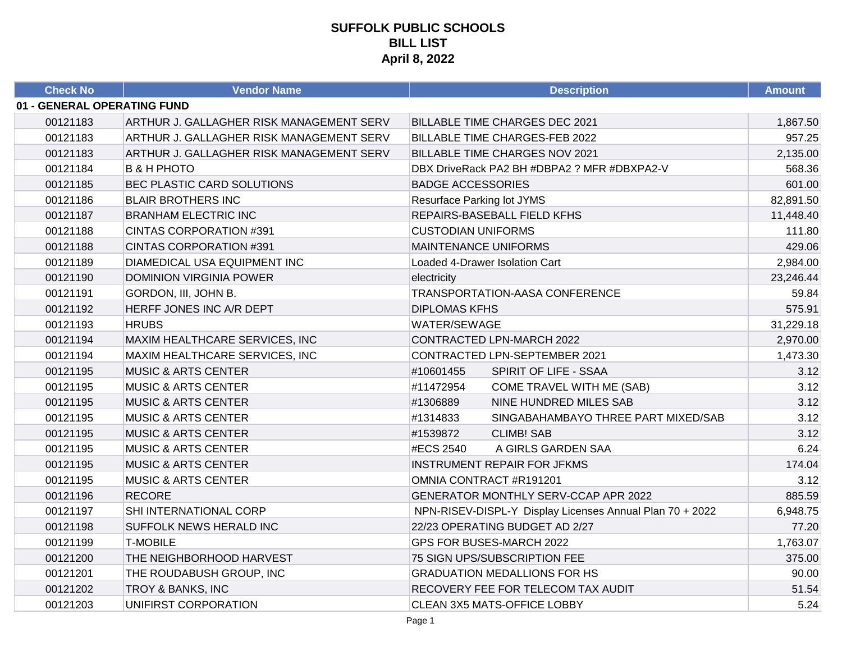| <b>Check No</b>             | <b>Vendor Name</b>                       | <b>Description</b>                                       | <b>Amount</b> |
|-----------------------------|------------------------------------------|----------------------------------------------------------|---------------|
| 01 - GENERAL OPERATING FUND |                                          |                                                          |               |
| 00121183                    | ARTHUR J. GALLAGHER RISK MANAGEMENT SERV | <b>BILLABLE TIME CHARGES DEC 2021</b>                    | 1,867.50      |
| 00121183                    | ARTHUR J. GALLAGHER RISK MANAGEMENT SERV | <b>BILLABLE TIME CHARGES-FEB 2022</b>                    | 957.25        |
| 00121183                    | ARTHUR J. GALLAGHER RISK MANAGEMENT SERV | <b>BILLABLE TIME CHARGES NOV 2021</b>                    | 2,135.00      |
| 00121184                    | <b>B &amp; H PHOTO</b>                   | DBX DriveRack PA2 BH #DBPA2 ? MFR #DBXPA2-V              | 568.36        |
| 00121185                    | <b>BEC PLASTIC CARD SOLUTIONS</b>        | <b>BADGE ACCESSORIES</b>                                 | 601.00        |
| 00121186                    | <b>BLAIR BROTHERS INC</b>                | <b>Resurface Parking lot JYMS</b>                        | 82,891.50     |
| 00121187                    | <b>BRANHAM ELECTRIC INC</b>              | REPAIRS-BASEBALL FIELD KFHS                              | 11,448.40     |
| 00121188                    | <b>CINTAS CORPORATION #391</b>           | <b>CUSTODIAN UNIFORMS</b>                                | 111.80        |
| 00121188                    | <b>CINTAS CORPORATION #391</b>           | <b>MAINTENANCE UNIFORMS</b>                              | 429.06        |
| 00121189                    | <b>DIAMEDICAL USA EQUIPMENT INC</b>      | Loaded 4-Drawer Isolation Cart                           | 2,984.00      |
| 00121190                    | <b>DOMINION VIRGINIA POWER</b>           | electricity                                              | 23,246.44     |
| 00121191                    | GORDON, III, JOHN B.                     | TRANSPORTATION-AASA CONFERENCE                           | 59.84         |
| 00121192                    | HERFF JONES INC A/R DEPT                 | <b>DIPLOMAS KFHS</b>                                     | 575.91        |
| 00121193                    | <b>HRUBS</b>                             | WATER/SEWAGE                                             | 31,229.18     |
| 00121194                    | MAXIM HEALTHCARE SERVICES, INC           | CONTRACTED LPN-MARCH 2022                                | 2,970.00      |
| 00121194                    | MAXIM HEALTHCARE SERVICES, INC           | CONTRACTED LPN-SEPTEMBER 2021                            | 1,473.30      |
| 00121195                    | <b>MUSIC &amp; ARTS CENTER</b>           | #10601455<br>SPIRIT OF LIFE - SSAA                       | 3.12          |
| 00121195                    | <b>MUSIC &amp; ARTS CENTER</b>           | #11472954<br>COME TRAVEL WITH ME (SAB)                   | 3.12          |
| 00121195                    | <b>MUSIC &amp; ARTS CENTER</b>           | #1306889<br>NINE HUNDRED MILES SAB                       | 3.12          |
| 00121195                    | <b>MUSIC &amp; ARTS CENTER</b>           | #1314833<br>SINGABAHAMBAYO THREE PART MIXED/SAB          | 3.12          |
| 00121195                    | <b>MUSIC &amp; ARTS CENTER</b>           | #1539872<br><b>CLIMB! SAB</b>                            | 3.12          |
| 00121195                    | <b>MUSIC &amp; ARTS CENTER</b>           | #ECS 2540<br>A GIRLS GARDEN SAA                          | 6.24          |
| 00121195                    | <b>MUSIC &amp; ARTS CENTER</b>           | <b>INSTRUMENT REPAIR FOR JFKMS</b>                       | 174.04        |
| 00121195                    | <b>MUSIC &amp; ARTS CENTER</b>           | OMNIA CONTRACT #R191201                                  | 3.12          |
| 00121196                    | <b>RECORE</b>                            | GENERATOR MONTHLY SERV-CCAP APR 2022                     | 885.59        |
| 00121197                    | SHI INTERNATIONAL CORP                   | NPN-RISEV-DISPL-Y Display Licenses Annual Plan 70 + 2022 | 6,948.75      |
| 00121198                    | <b>SUFFOLK NEWS HERALD INC</b>           | 22/23 OPERATING BUDGET AD 2/27                           | 77.20         |
| 00121199                    | <b>T-MOBILE</b>                          | GPS FOR BUSES-MARCH 2022                                 | 1,763.07      |
| 00121200                    | THE NEIGHBORHOOD HARVEST                 | 75 SIGN UPS/SUBSCRIPTION FEE                             | 375.00        |
| 00121201                    | THE ROUDABUSH GROUP, INC                 | <b>GRADUATION MEDALLIONS FOR HS</b>                      | 90.00         |
| 00121202                    | <b>TROY &amp; BANKS, INC</b>             | RECOVERY FEE FOR TELECOM TAX AUDIT                       | 51.54         |
| 00121203                    | UNIFIRST CORPORATION                     | CLEAN 3X5 MATS-OFFICE LOBBY                              | 5.24          |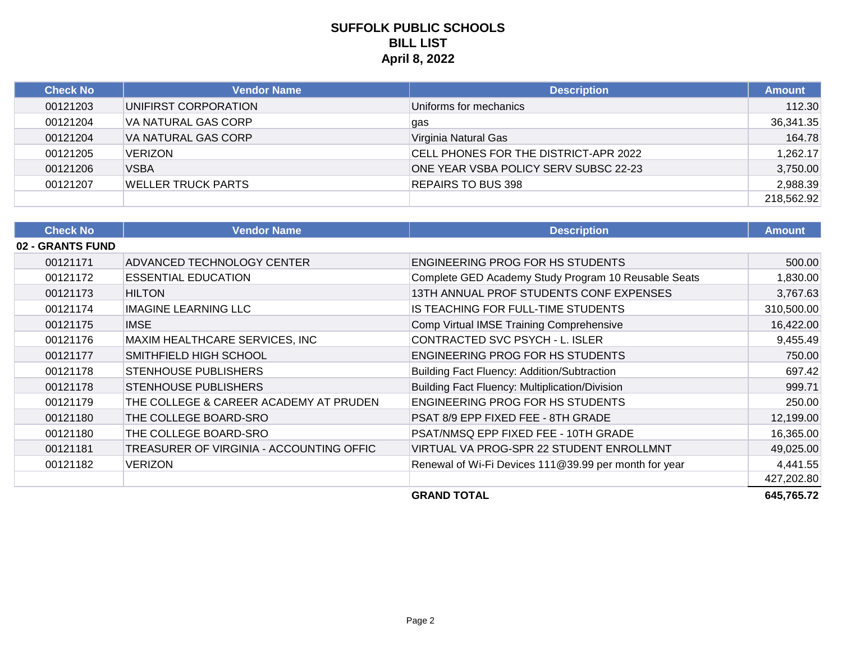| <b>Check No</b> | Vendor Name                | <b>Description</b>                    | <b>Amount</b> |
|-----------------|----------------------------|---------------------------------------|---------------|
| 00121203        | UNIFIRST CORPORATION       | Uniforms for mechanics                | 112.30        |
| 00121204        | <b>VA NATURAL GAS CORP</b> | gas                                   | 36,341.35     |
| 00121204        | <b>VA NATURAL GAS CORP</b> | Virginia Natural Gas                  | 164.78        |
| 00121205        | <b>VERIZON</b>             | CELL PHONES FOR THE DISTRICT-APR 2022 | 1,262.17      |
| 00121206        | <b>VSBA</b>                | ONE YEAR VSBA POLICY SERV SUBSC 22-23 | 3,750.00      |
| 00121207        | WELLER TRUCK PARTS         | <b>REPAIRS TO BUS 398</b>             | 2,988.39      |
|                 |                            |                                       | 218,562.92    |

| <b>Check No</b>  | <b>Vendor Name</b>                       | <b>Description</b>                                    | <b>Amount</b> |
|------------------|------------------------------------------|-------------------------------------------------------|---------------|
| 02 - GRANTS FUND |                                          |                                                       |               |
| 00121171         | ADVANCED TECHNOLOGY CENTER               | ENGINEERING PROG FOR HS STUDENTS                      | 500.00        |
| 00121172         | <b>ESSENTIAL EDUCATION</b>               | Complete GED Academy Study Program 10 Reusable Seats  | 1,830.00      |
| 00121173         | <b>HILTON</b>                            | 13TH ANNUAL PROF STUDENTS CONF EXPENSES               | 3,767.63      |
| 00121174         | <b>IMAGINE LEARNING LLC</b>              | IS TEACHING FOR FULL-TIME STUDENTS                    | 310,500.00    |
| 00121175         | <b>IMSE</b>                              | Comp Virtual IMSE Training Comprehensive              | 16,422.00     |
| 00121176         | MAXIM HEALTHCARE SERVICES, INC           | CONTRACTED SVC PSYCH - L. ISLER                       | 9,455.49      |
| 00121177         | SMITHFIELD HIGH SCHOOL                   | <b>ENGINEERING PROG FOR HS STUDENTS</b>               | 750.00        |
| 00121178         | <b>STENHOUSE PUBLISHERS</b>              | Building Fact Fluency: Addition/Subtraction           | 697.42        |
| 00121178         | <b>STENHOUSE PUBLISHERS</b>              | Building Fact Fluency: Multiplication/Division        | 999.71        |
| 00121179         | THE COLLEGE & CAREER ACADEMY AT PRUDEN   | ENGINEERING PROG FOR HS STUDENTS                      | 250.00        |
| 00121180         | THE COLLEGE BOARD-SRO                    | PSAT 8/9 EPP FIXED FEE - 8TH GRADE                    | 12,199.00     |
| 00121180         | THE COLLEGE BOARD-SRO                    | PSAT/NMSQ EPP FIXED FEE - 10TH GRADE                  | 16,365.00     |
| 00121181         | TREASURER OF VIRGINIA - ACCOUNTING OFFIC | VIRTUAL VA PROG-SPR 22 STUDENT ENROLLMNT              | 49,025.00     |
| 00121182         | <b>VERIZON</b>                           | Renewal of Wi-Fi Devices 111@39.99 per month for year | 4,441.55      |
|                  |                                          |                                                       | 427,202.80    |
|                  |                                          | <b>GRAND TOTAL</b>                                    | 645,765.72    |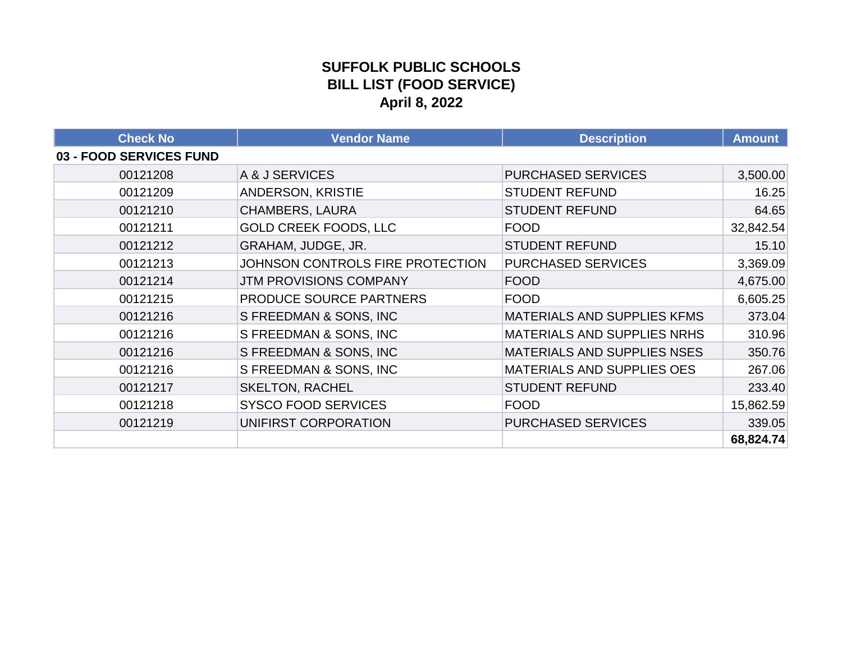### **SUFFOLK PUBLIC SCHOOLS BILL LIST (FOOD SERVICE) April 8, 2022**

| <b>Check No</b>         | <b>Vendor Name</b>               | <b>Description</b>                 | <b>Amount</b> |
|-------------------------|----------------------------------|------------------------------------|---------------|
| 03 - FOOD SERVICES FUND |                                  |                                    |               |
| 00121208                | A & J SERVICES                   | <b>PURCHASED SERVICES</b>          | 3,500.00      |
| 00121209                | ANDERSON, KRISTIE                | <b>STUDENT REFUND</b>              | 16.25         |
| 00121210                | <b>CHAMBERS, LAURA</b>           | <b>STUDENT REFUND</b>              | 64.65         |
| 00121211                | <b>GOLD CREEK FOODS, LLC</b>     | <b>FOOD</b>                        | 32,842.54     |
| 00121212                | GRAHAM, JUDGE, JR.               | <b>STUDENT REFUND</b>              | 15.10         |
| 00121213                | JOHNSON CONTROLS FIRE PROTECTION | <b>PURCHASED SERVICES</b>          | 3,369.09      |
| 00121214                | <b>JTM PROVISIONS COMPANY</b>    | <b>FOOD</b>                        | 4,675.00      |
| 00121215                | PRODUCE SOURCE PARTNERS          | <b>FOOD</b>                        | 6,605.25      |
| 00121216                | S FREEDMAN & SONS, INC           | <b>MATERIALS AND SUPPLIES KFMS</b> | 373.04        |
| 00121216                | S FREEDMAN & SONS, INC           | <b>MATERIALS AND SUPPLIES NRHS</b> | 310.96        |
| 00121216                | S FREEDMAN & SONS, INC           | <b>MATERIALS AND SUPPLIES NSES</b> | 350.76        |
| 00121216                | S FREEDMAN & SONS, INC           | MATERIALS AND SUPPLIES OES         | 267.06        |
| 00121217                | <b>SKELTON, RACHEL</b>           | <b>STUDENT REFUND</b>              | 233.40        |
| 00121218                | <b>SYSCO FOOD SERVICES</b>       | <b>FOOD</b>                        | 15,862.59     |
| 00121219                | UNIFIRST CORPORATION             | <b>PURCHASED SERVICES</b>          | 339.05        |
|                         |                                  |                                    | 68,824.74     |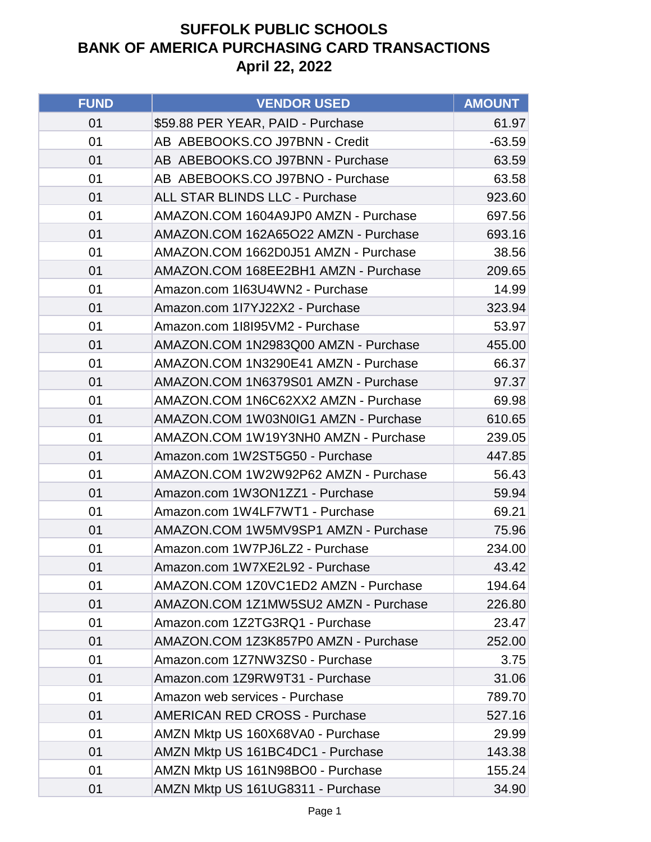| <b>FUND</b> | <b>VENDOR USED</b>                    | <b>AMOUNT</b> |
|-------------|---------------------------------------|---------------|
| 01          | \$59.88 PER YEAR, PAID - Purchase     | 61.97         |
| 01          | AB ABEBOOKS.CO J97BNN - Credit        | $-63.59$      |
| 01          | AB ABEBOOKS.CO J97BNN - Purchase      | 63.59         |
| 01          | AB ABEBOOKS.CO J97BNO - Purchase      | 63.58         |
| 01          | <b>ALL STAR BLINDS LLC - Purchase</b> | 923.60        |
| 01          | AMAZON.COM 1604A9JP0 AMZN - Purchase  | 697.56        |
| 01          | AMAZON.COM 162A65O22 AMZN - Purchase  | 693.16        |
| 01          | AMAZON.COM 1662D0J51 AMZN - Purchase  | 38.56         |
| 01          | AMAZON.COM 168EE2BH1 AMZN - Purchase  | 209.65        |
| 01          | Amazon.com 1I63U4WN2 - Purchase       | 14.99         |
| 01          | Amazon.com 1I7YJ22X2 - Purchase       | 323.94        |
| 01          | Amazon.com 1l8l95VM2 - Purchase       | 53.97         |
| 01          | AMAZON.COM 1N2983Q00 AMZN - Purchase  | 455.00        |
| 01          | AMAZON.COM 1N3290E41 AMZN - Purchase  | 66.37         |
| 01          | AMAZON.COM 1N6379S01 AMZN - Purchase  | 97.37         |
| 01          | AMAZON.COM 1N6C62XX2 AMZN - Purchase  | 69.98         |
| 01          | AMAZON.COM 1W03N0IG1 AMZN - Purchase  | 610.65        |
| 01          | AMAZON.COM 1W19Y3NH0 AMZN - Purchase  | 239.05        |
| 01          | Amazon.com 1W2ST5G50 - Purchase       | 447.85        |
| 01          | AMAZON.COM 1W2W92P62 AMZN - Purchase  | 56.43         |
| 01          | Amazon.com 1W3ON1ZZ1 - Purchase       | 59.94         |
| 01          | Amazon.com 1W4LF7WT1 - Purchase       | 69.21         |
| 01          | AMAZON.COM 1W5MV9SP1 AMZN - Purchase  | 75.96         |
| 01          | Amazon.com 1W7PJ6LZ2 - Purchase       | 234.00        |
| 01          | Amazon.com 1W7XE2L92 - Purchase       | 43.42         |
| 01          | AMAZON.COM 1Z0VC1ED2 AMZN - Purchase  | 194.64        |
| 01          | AMAZON.COM 1Z1MW5SU2 AMZN - Purchase  | 226.80        |
| 01          | Amazon.com 1Z2TG3RQ1 - Purchase       | 23.47         |
| 01          | AMAZON.COM 1Z3K857P0 AMZN - Purchase  | 252.00        |
| 01          | Amazon.com 1Z7NW3ZS0 - Purchase       | 3.75          |
| 01          | Amazon.com 1Z9RW9T31 - Purchase       | 31.06         |
| 01          | Amazon web services - Purchase        | 789.70        |
| 01          | <b>AMERICAN RED CROSS - Purchase</b>  | 527.16        |
| 01          | AMZN Mktp US 160X68VA0 - Purchase     | 29.99         |
| 01          | AMZN Mktp US 161BC4DC1 - Purchase     | 143.38        |
| 01          | AMZN Mktp US 161N98BO0 - Purchase     | 155.24        |
| 01          | AMZN Mktp US 161UG8311 - Purchase     | 34.90         |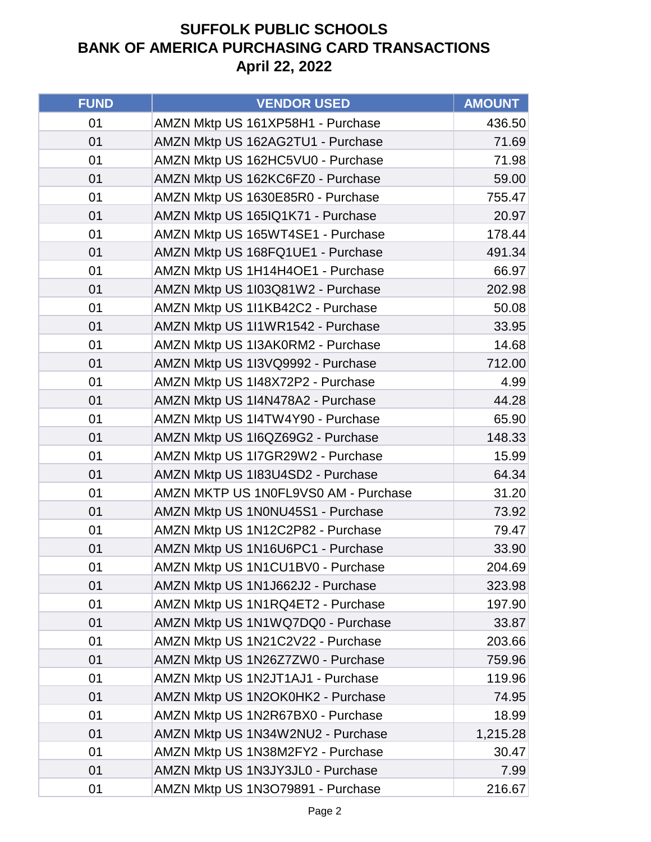| <b>FUND</b> | <b>VENDOR USED</b>                   | <b>AMOUNT</b> |
|-------------|--------------------------------------|---------------|
| 01          | AMZN Mktp US 161XP58H1 - Purchase    | 436.50        |
| 01          | AMZN Mktp US 162AG2TU1 - Purchase    | 71.69         |
| 01          | AMZN Mktp US 162HC5VU0 - Purchase    | 71.98         |
| 01          | AMZN Mktp US 162KC6FZ0 - Purchase    | 59.00         |
| 01          | AMZN Mktp US 1630E85R0 - Purchase    | 755.47        |
| 01          | AMZN Mktp US 165IQ1K71 - Purchase    | 20.97         |
| 01          | AMZN Mktp US 165WT4SE1 - Purchase    | 178.44        |
| 01          | AMZN Mktp US 168FQ1UE1 - Purchase    | 491.34        |
| 01          | AMZN Mktp US 1H14H4OE1 - Purchase    | 66.97         |
| 01          | AMZN Mktp US 1I03Q81W2 - Purchase    | 202.98        |
| 01          | AMZN Mktp US 1I1KB42C2 - Purchase    | 50.08         |
| 01          | AMZN Mktp US 1I1WR1542 - Purchase    | 33.95         |
| 01          | AMZN Mktp US 1I3AK0RM2 - Purchase    | 14.68         |
| 01          | AMZN Mktp US 1I3VQ9992 - Purchase    | 712.00        |
| 01          | AMZN Mktp US 1I48X72P2 - Purchase    | 4.99          |
| 01          | AMZN Mktp US 1I4N478A2 - Purchase    | 44.28         |
| 01          | AMZN Mktp US 1I4TW4Y90 - Purchase    | 65.90         |
| 01          | AMZN Mktp US 1I6QZ69G2 - Purchase    | 148.33        |
| 01          | AMZN Mktp US 1I7GR29W2 - Purchase    | 15.99         |
| 01          | AMZN Mktp US 1I83U4SD2 - Purchase    | 64.34         |
| 01          | AMZN MKTP US 1N0FL9VS0 AM - Purchase | 31.20         |
| 01          | AMZN Mktp US 1N0NU45S1 - Purchase    | 73.92         |
| 01          | AMZN Mktp US 1N12C2P82 - Purchase    | 79.47         |
| 01          | AMZN Mktp US 1N16U6PC1 - Purchase    | 33.90         |
| 01          | AMZN Mktp US 1N1CU1BV0 - Purchase    | 204.69        |
| 01          | AMZN Mktp US 1N1J662J2 - Purchase    | 323.98        |
| 01          | AMZN Mktp US 1N1RQ4ET2 - Purchase    | 197.90        |
| 01          | AMZN Mktp US 1N1WQ7DQ0 - Purchase    | 33.87         |
| 01          | AMZN Mktp US 1N21C2V22 - Purchase    | 203.66        |
| 01          | AMZN Mktp US 1N26Z7ZW0 - Purchase    | 759.96        |
| 01          | AMZN Mktp US 1N2JT1AJ1 - Purchase    | 119.96        |
| 01          | AMZN Mktp US 1N2OK0HK2 - Purchase    | 74.95         |
| 01          | AMZN Mktp US 1N2R67BX0 - Purchase    | 18.99         |
| 01          | AMZN Mktp US 1N34W2NU2 - Purchase    | 1,215.28      |
| 01          | AMZN Mktp US 1N38M2FY2 - Purchase    | 30.47         |
| 01          | AMZN Mktp US 1N3JY3JL0 - Purchase    | 7.99          |
| 01          | AMZN Mktp US 1N3O79891 - Purchase    | 216.67        |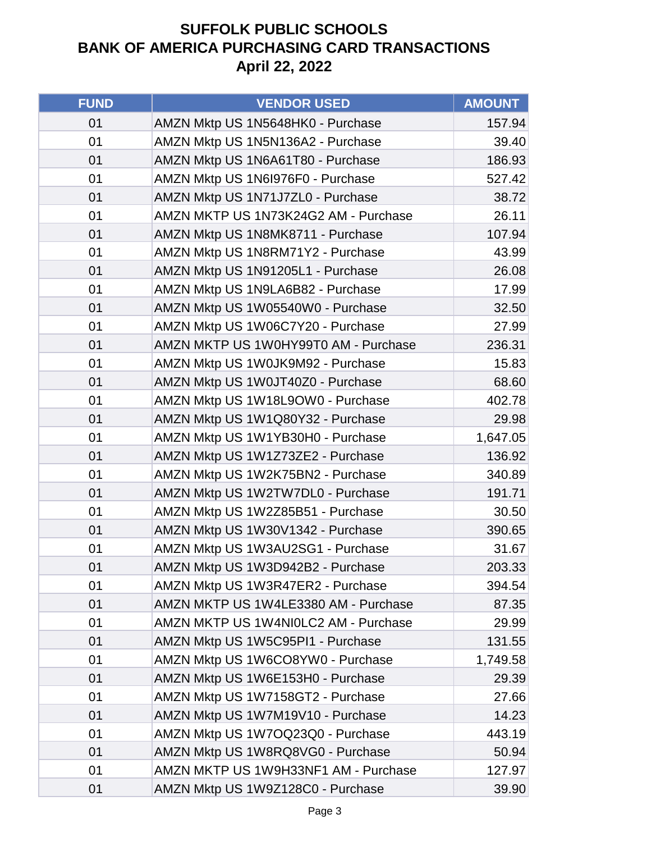| <b>FUND</b> | <b>VENDOR USED</b>                   | <b>AMOUNT</b> |
|-------------|--------------------------------------|---------------|
| 01          | AMZN Mktp US 1N5648HK0 - Purchase    | 157.94        |
| 01          | AMZN Mktp US 1N5N136A2 - Purchase    | 39.40         |
| 01          | AMZN Mktp US 1N6A61T80 - Purchase    | 186.93        |
| 01          | AMZN Mktp US 1N6I976F0 - Purchase    | 527.42        |
| 01          | AMZN Mktp US 1N71J7ZL0 - Purchase    | 38.72         |
| 01          | AMZN MKTP US 1N73K24G2 AM - Purchase | 26.11         |
| 01          | AMZN Mktp US 1N8MK8711 - Purchase    | 107.94        |
| 01          | AMZN Mktp US 1N8RM71Y2 - Purchase    | 43.99         |
| 01          | AMZN Mktp US 1N91205L1 - Purchase    | 26.08         |
| 01          | AMZN Mktp US 1N9LA6B82 - Purchase    | 17.99         |
| 01          | AMZN Mktp US 1W05540W0 - Purchase    | 32.50         |
| 01          | AMZN Mktp US 1W06C7Y20 - Purchase    | 27.99         |
| 01          | AMZN MKTP US 1W0HY99T0 AM - Purchase | 236.31        |
| 01          | AMZN Mktp US 1W0JK9M92 - Purchase    | 15.83         |
| 01          | AMZN Mktp US 1W0JT40Z0 - Purchase    | 68.60         |
| 01          | AMZN Mktp US 1W18L9OW0 - Purchase    | 402.78        |
| 01          | AMZN Mktp US 1W1Q80Y32 - Purchase    | 29.98         |
| 01          | AMZN Mktp US 1W1YB30H0 - Purchase    | 1,647.05      |
| 01          | AMZN Mktp US 1W1Z73ZE2 - Purchase    | 136.92        |
| 01          | AMZN Mktp US 1W2K75BN2 - Purchase    | 340.89        |
| 01          | AMZN Mktp US 1W2TW7DL0 - Purchase    | 191.71        |
| 01          | AMZN Mktp US 1W2Z85B51 - Purchase    | 30.50         |
| 01          | AMZN Mktp US 1W30V1342 - Purchase    | 390.65        |
| 01          | AMZN Mktp US 1W3AU2SG1 - Purchase    | 31.67         |
| 01          | AMZN Mktp US 1W3D942B2 - Purchase    | 203.33        |
| 01          | AMZN Mktp US 1W3R47ER2 - Purchase    | 394.54        |
| 01          | AMZN MKTP US 1W4LE3380 AM - Purchase | 87.35         |
| 01          | AMZN MKTP US 1W4NI0LC2 AM - Purchase | 29.99         |
| 01          | AMZN Mktp US 1W5C95PI1 - Purchase    | 131.55        |
| 01          | AMZN Mktp US 1W6CO8YW0 - Purchase    | 1,749.58      |
| 01          | AMZN Mktp US 1W6E153H0 - Purchase    | 29.39         |
| 01          | AMZN Mktp US 1W7158GT2 - Purchase    | 27.66         |
| 01          | AMZN Mktp US 1W7M19V10 - Purchase    | 14.23         |
| 01          | AMZN Mktp US 1W7OQ23Q0 - Purchase    | 443.19        |
| 01          | AMZN Mktp US 1W8RQ8VG0 - Purchase    | 50.94         |
| 01          | AMZN MKTP US 1W9H33NF1 AM - Purchase | 127.97        |
| 01          | AMZN Mktp US 1W9Z128C0 - Purchase    | 39.90         |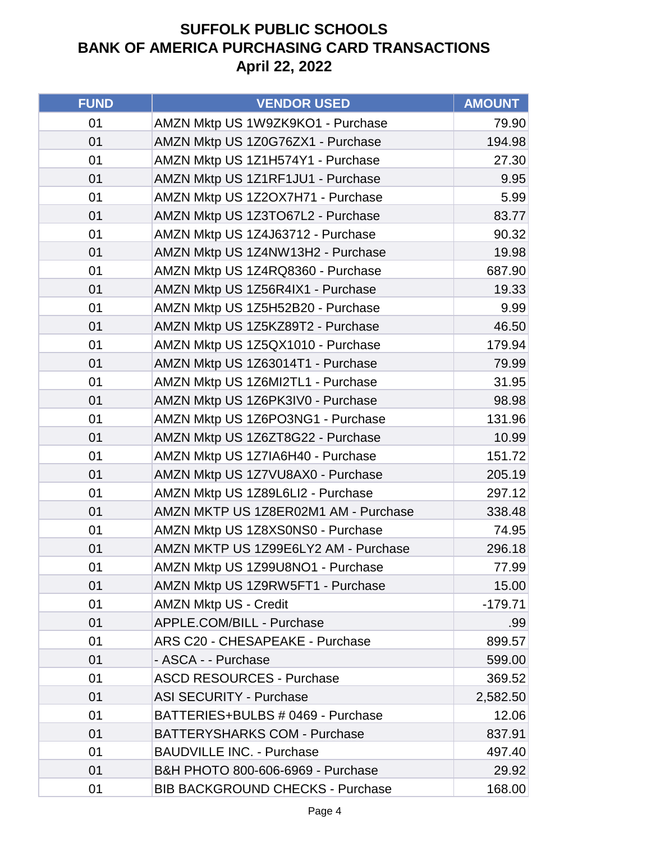| <b>FUND</b> | <b>VENDOR USED</b>                      | <b>AMOUNT</b> |
|-------------|-----------------------------------------|---------------|
| 01          | AMZN Mktp US 1W9ZK9KO1 - Purchase       | 79.90         |
| 01          | AMZN Mktp US 1Z0G76ZX1 - Purchase       | 194.98        |
| 01          | AMZN Mktp US 1Z1H574Y1 - Purchase       | 27.30         |
| 01          | AMZN Mktp US 1Z1RF1JU1 - Purchase       | 9.95          |
| 01          | AMZN Mktp US 1Z2OX7H71 - Purchase       | 5.99          |
| 01          | AMZN Mktp US 1Z3TO67L2 - Purchase       | 83.77         |
| 01          | AMZN Mktp US 1Z4J63712 - Purchase       | 90.32         |
| 01          | AMZN Mktp US 1Z4NW13H2 - Purchase       | 19.98         |
| 01          | AMZN Mktp US 1Z4RQ8360 - Purchase       | 687.90        |
| 01          | AMZN Mktp US 1Z56R4IX1 - Purchase       | 19.33         |
| 01          | AMZN Mktp US 1Z5H52B20 - Purchase       | 9.99          |
| 01          | AMZN Mktp US 1Z5KZ89T2 - Purchase       | 46.50         |
| 01          | AMZN Mktp US 1Z5QX1010 - Purchase       | 179.94        |
| 01          | AMZN Mktp US 1Z63014T1 - Purchase       | 79.99         |
| 01          | AMZN Mktp US 1Z6MI2TL1 - Purchase       | 31.95         |
| 01          | AMZN Mktp US 1Z6PK3IV0 - Purchase       | 98.98         |
| 01          | AMZN Mktp US 1Z6PO3NG1 - Purchase       | 131.96        |
| 01          | AMZN Mktp US 1Z6ZT8G22 - Purchase       | 10.99         |
| 01          | AMZN Mktp US 1Z7IA6H40 - Purchase       | 151.72        |
| 01          | AMZN Mktp US 1Z7VU8AX0 - Purchase       | 205.19        |
| 01          | AMZN Mktp US 1Z89L6LI2 - Purchase       | 297.12        |
| 01          | AMZN MKTP US 1Z8ER02M1 AM - Purchase    | 338.48        |
| 01          | AMZN Mktp US 1Z8XS0NS0 - Purchase       | 74.95         |
| 01          | AMZN MKTP US 1Z99E6LY2 AM - Purchase    | 296.18        |
| 01          | AMZN Mktp US 1Z99U8NO1 - Purchase       | 77.99         |
| 01          | AMZN Mktp US 1Z9RW5FT1 - Purchase       | 15.00         |
| 01          | <b>AMZN Mktp US - Credit</b>            | $-179.71$     |
| 01          | APPLE.COM/BILL - Purchase               | .99           |
| 01          | ARS C20 - CHESAPEAKE - Purchase         | 899.57        |
| 01          | - ASCA - - Purchase                     | 599.00        |
| 01          | <b>ASCD RESOURCES - Purchase</b>        | 369.52        |
| 01          | <b>ASI SECURITY - Purchase</b>          | 2,582.50      |
| 01          | BATTERIES+BULBS # 0469 - Purchase       | 12.06         |
| 01          | <b>BATTERYSHARKS COM - Purchase</b>     | 837.91        |
| 01          | <b>BAUDVILLE INC. - Purchase</b>        | 497.40        |
| 01          | B&H PHOTO 800-606-6969 - Purchase       | 29.92         |
| 01          | <b>BIB BACKGROUND CHECKS - Purchase</b> | 168.00        |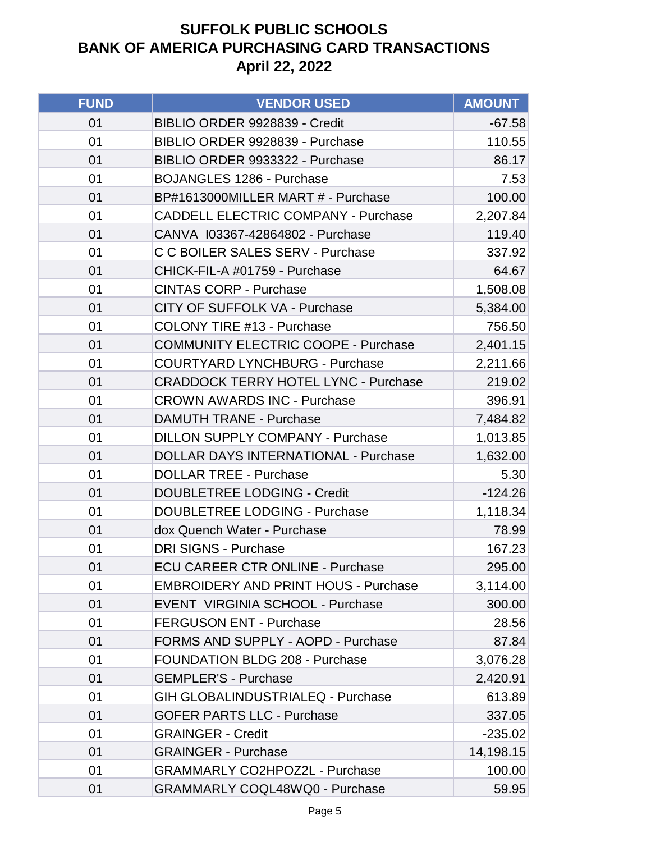| <b>FUND</b> | <b>VENDOR USED</b>                          | <b>AMOUNT</b> |
|-------------|---------------------------------------------|---------------|
| 01          | BIBLIO ORDER 9928839 - Credit               | $-67.58$      |
| 01          | BIBLIO ORDER 9928839 - Purchase             | 110.55        |
| 01          | BIBLIO ORDER 9933322 - Purchase             | 86.17         |
| 01          | <b>BOJANGLES 1286 - Purchase</b>            | 7.53          |
| 01          | BP#1613000MILLER MART # - Purchase          | 100.00        |
| 01          | <b>CADDELL ELECTRIC COMPANY - Purchase</b>  | 2,207.84      |
| 01          | CANVA 103367-42864802 - Purchase            | 119.40        |
| 01          | C C BOILER SALES SERV - Purchase            | 337.92        |
| 01          | CHICK-FIL-A #01759 - Purchase               | 64.67         |
| 01          | <b>CINTAS CORP - Purchase</b>               | 1,508.08      |
| 01          | CITY OF SUFFOLK VA - Purchase               | 5,384.00      |
| 01          | <b>COLONY TIRE #13 - Purchase</b>           | 756.50        |
| 01          | <b>COMMUNITY ELECTRIC COOPE - Purchase</b>  | 2,401.15      |
| 01          | <b>COURTYARD LYNCHBURG - Purchase</b>       | 2,211.66      |
| 01          | <b>CRADDOCK TERRY HOTEL LYNC - Purchase</b> | 219.02        |
| 01          | <b>CROWN AWARDS INC - Purchase</b>          | 396.91        |
| 01          | <b>DAMUTH TRANE - Purchase</b>              | 7,484.82      |
| 01          | <b>DILLON SUPPLY COMPANY - Purchase</b>     | 1,013.85      |
| 01          | <b>DOLLAR DAYS INTERNATIONAL - Purchase</b> | 1,632.00      |
| 01          | <b>DOLLAR TREE - Purchase</b>               | 5.30          |
| 01          | <b>DOUBLETREE LODGING - Credit</b>          | $-124.26$     |
| 01          | <b>DOUBLETREE LODGING - Purchase</b>        | 1,118.34      |
| 01          | dox Quench Water - Purchase                 | 78.99         |
| 01          | <b>DRI SIGNS - Purchase</b>                 | 167.23        |
| 01          | <b>ECU CAREER CTR ONLINE - Purchase</b>     | 295.00        |
| 01          | <b>EMBROIDERY AND PRINT HOUS - Purchase</b> | 3,114.00      |
| 01          | EVENT VIRGINIA SCHOOL - Purchase            | 300.00        |
| 01          | <b>FERGUSON ENT - Purchase</b>              | 28.56         |
| 01          | FORMS AND SUPPLY - AOPD - Purchase          | 87.84         |
| 01          | <b>FOUNDATION BLDG 208 - Purchase</b>       | 3,076.28      |
| 01          | <b>GEMPLER'S - Purchase</b>                 | 2,420.91      |
| 01          | <b>GIH GLOBALINDUSTRIALEQ - Purchase</b>    | 613.89        |
| 01          | <b>GOFER PARTS LLC - Purchase</b>           | 337.05        |
| 01          | <b>GRAINGER - Credit</b>                    | $-235.02$     |
| 01          | <b>GRAINGER - Purchase</b>                  | 14,198.15     |
| 01          | <b>GRAMMARLY CO2HPOZ2L - Purchase</b>       | 100.00        |
| 01          | <b>GRAMMARLY COQL48WQ0 - Purchase</b>       | 59.95         |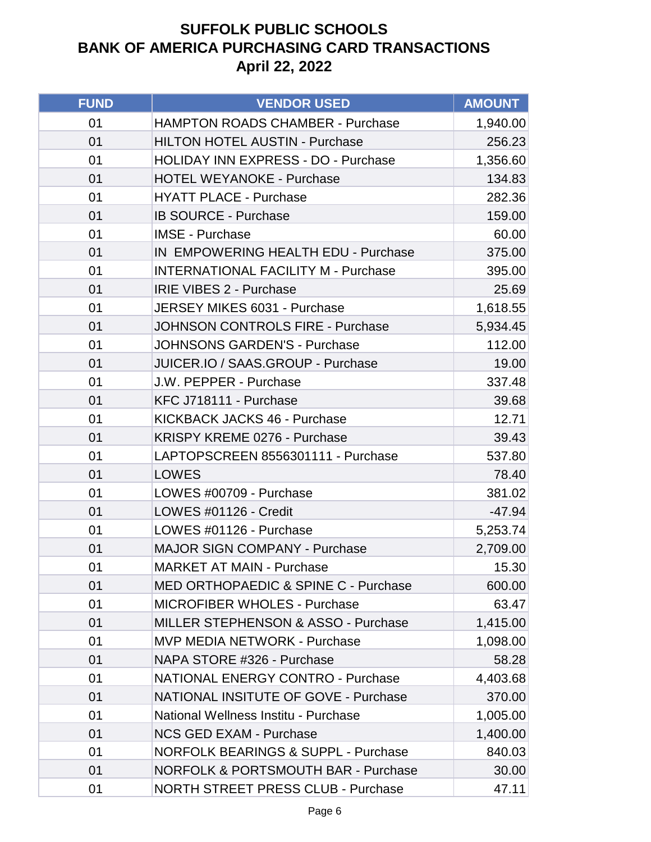| <b>FUND</b> | <b>VENDOR USED</b>                              | <b>AMOUNT</b> |
|-------------|-------------------------------------------------|---------------|
| 01          | <b>HAMPTON ROADS CHAMBER - Purchase</b>         | 1,940.00      |
| 01          | <b>HILTON HOTEL AUSTIN - Purchase</b>           | 256.23        |
| 01          | <b>HOLIDAY INN EXPRESS - DO - Purchase</b>      | 1,356.60      |
| 01          | <b>HOTEL WEYANOKE - Purchase</b>                | 134.83        |
| 01          | <b>HYATT PLACE - Purchase</b>                   | 282.36        |
| 01          | <b>IB SOURCE - Purchase</b>                     | 159.00        |
| 01          | <b>IMSE - Purchase</b>                          | 60.00         |
| 01          | IN EMPOWERING HEALTH EDU - Purchase             | 375.00        |
| 01          | <b>INTERNATIONAL FACILITY M - Purchase</b>      | 395.00        |
| 01          | <b>IRIE VIBES 2 - Purchase</b>                  | 25.69         |
| 01          | JERSEY MIKES 6031 - Purchase                    | 1,618.55      |
| 01          | <b>JOHNSON CONTROLS FIRE - Purchase</b>         | 5,934.45      |
| 01          | <b>JOHNSONS GARDEN'S - Purchase</b>             | 112.00        |
| 01          | JUICER.IO / SAAS.GROUP - Purchase               | 19.00         |
| 01          | J.W. PEPPER - Purchase                          | 337.48        |
| 01          | KFC J718111 - Purchase                          | 39.68         |
| 01          | <b>KICKBACK JACKS 46 - Purchase</b>             | 12.71         |
| 01          | KRISPY KREME 0276 - Purchase                    | 39.43         |
| 01          | LAPTOPSCREEN 8556301111 - Purchase              | 537.80        |
| 01          | <b>LOWES</b>                                    | 78.40         |
| 01          | LOWES #00709 - Purchase                         | 381.02        |
| 01          | LOWES #01126 - Credit                           | $-47.94$      |
| 01          | LOWES #01126 - Purchase                         | 5,253.74      |
| 01          | <b>MAJOR SIGN COMPANY - Purchase</b>            | 2,709.00      |
| 01          | <b>MARKET AT MAIN - Purchase</b>                | 15.30         |
| 01          | <b>MED ORTHOPAEDIC &amp; SPINE C - Purchase</b> | 600.00        |
| 01          | <b>MICROFIBER WHOLES - Purchase</b>             | 63.47         |
| 01          | <b>MILLER STEPHENSON &amp; ASSO - Purchase</b>  | 1,415.00      |
| 01          | <b>MVP MEDIA NETWORK - Purchase</b>             | 1,098.00      |
| 01          | NAPA STORE #326 - Purchase                      | 58.28         |
| 01          | <b>NATIONAL ENERGY CONTRO - Purchase</b>        | 4,403.68      |
| 01          | <b>NATIONAL INSITUTE OF GOVE - Purchase</b>     | 370.00        |
| 01          | National Wellness Institu - Purchase            | 1,005.00      |
| 01          | <b>NCS GED EXAM - Purchase</b>                  | 1,400.00      |
| 01          | <b>NORFOLK BEARINGS &amp; SUPPL - Purchase</b>  | 840.03        |
| 01          | <b>NORFOLK &amp; PORTSMOUTH BAR - Purchase</b>  | 30.00         |
| 01          | <b>NORTH STREET PRESS CLUB - Purchase</b>       | 47.11         |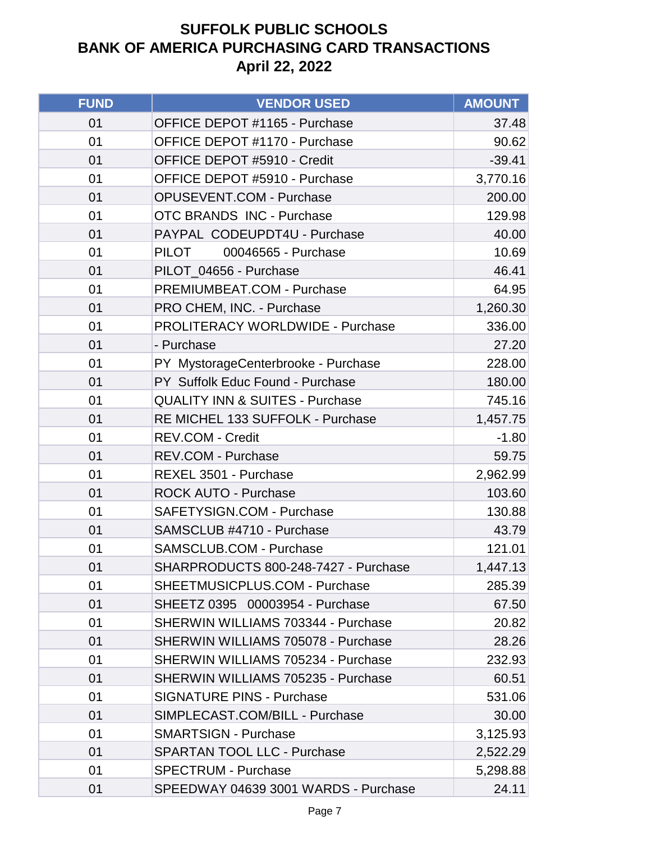| <b>FUND</b> | <b>VENDOR USED</b>                         | <b>AMOUNT</b> |
|-------------|--------------------------------------------|---------------|
| 01          | OFFICE DEPOT #1165 - Purchase              | 37.48         |
| 01          | OFFICE DEPOT #1170 - Purchase              | 90.62         |
| 01          | OFFICE DEPOT #5910 - Credit                | $-39.41$      |
| 01          | OFFICE DEPOT #5910 - Purchase              | 3,770.16      |
| 01          | OPUSEVENT.COM - Purchase                   | 200.00        |
| 01          | <b>OTC BRANDS INC - Purchase</b>           | 129.98        |
| 01          | PAYPAL CODEUPDT4U - Purchase               | 40.00         |
| 01          | <b>PILOT</b><br>00046565 - Purchase        | 10.69         |
| 01          | PILOT_04656 - Purchase                     | 46.41         |
| 01          | PREMIUMBEAT.COM - Purchase                 | 64.95         |
| 01          | PRO CHEM, INC. - Purchase                  | 1,260.30      |
| 01          | PROLITERACY WORLDWIDE - Purchase           | 336.00        |
| 01          | - Purchase                                 | 27.20         |
| 01          | PY MystorageCenterbrooke - Purchase        | 228.00        |
| 01          | PY Suffolk Educ Found - Purchase           | 180.00        |
| 01          | <b>QUALITY INN &amp; SUITES - Purchase</b> | 745.16        |
| 01          | RE MICHEL 133 SUFFOLK - Purchase           | 1,457.75      |
| 01          | <b>REV.COM - Credit</b>                    | $-1.80$       |
| 01          | REV.COM - Purchase                         | 59.75         |
| 01          | REXEL 3501 - Purchase                      | 2,962.99      |
| 01          | <b>ROCK AUTO - Purchase</b>                | 103.60        |
| 01          | SAFETYSIGN.COM - Purchase                  | 130.88        |
| 01          | SAMSCLUB #4710 - Purchase                  | 43.79         |
| 01          | <b>SAMSCLUB.COM - Purchase</b>             | 121.01        |
| 01          | SHARPRODUCTS 800-248-7427 - Purchase       | 1,447.13      |
| 01          | SHEETMUSICPLUS.COM - Purchase              | 285.39        |
| 01          | SHEETZ 0395 00003954 - Purchase            | 67.50         |
| 01          | SHERWIN WILLIAMS 703344 - Purchase         | 20.82         |
| 01          | SHERWIN WILLIAMS 705078 - Purchase         | 28.26         |
| 01          | SHERWIN WILLIAMS 705234 - Purchase         | 232.93        |
| 01          | SHERWIN WILLIAMS 705235 - Purchase         | 60.51         |
| 01          | <b>SIGNATURE PINS - Purchase</b>           | 531.06        |
| 01          | SIMPLECAST.COM/BILL - Purchase             | 30.00         |
| 01          | <b>SMARTSIGN - Purchase</b>                | 3,125.93      |
| 01          | <b>SPARTAN TOOL LLC - Purchase</b>         | 2,522.29      |
| 01          | <b>SPECTRUM - Purchase</b>                 | 5,298.88      |
| 01          | SPEEDWAY 04639 3001 WARDS - Purchase       | 24.11         |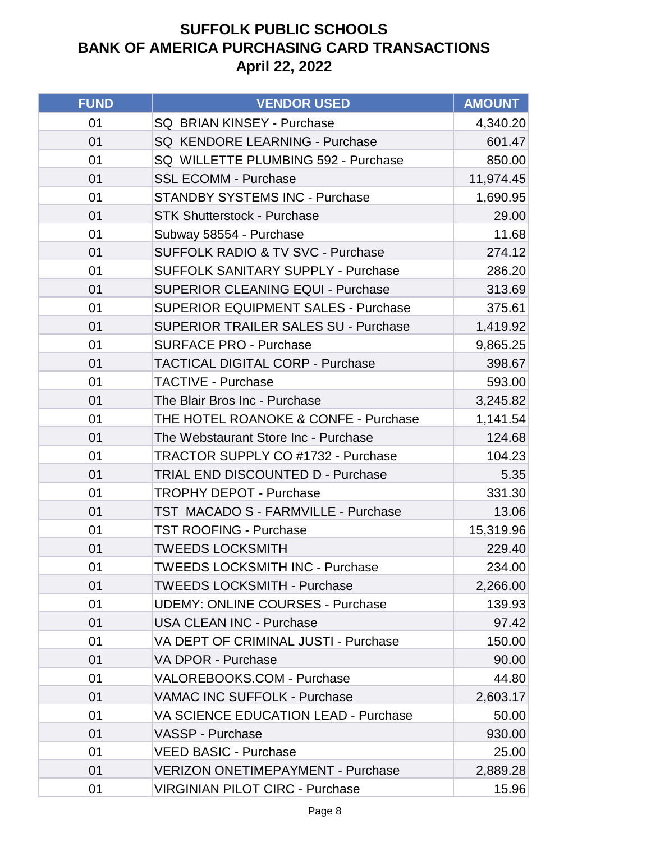| <b>FUND</b> | <b>VENDOR USED</b>                           | <b>AMOUNT</b> |
|-------------|----------------------------------------------|---------------|
| 01          | SQ BRIAN KINSEY - Purchase                   | 4,340.20      |
| 01          | SQ KENDORE LEARNING - Purchase               | 601.47        |
| 01          | SQ WILLETTE PLUMBING 592 - Purchase          | 850.00        |
| 01          | <b>SSL ECOMM - Purchase</b>                  | 11,974.45     |
| 01          | <b>STANDBY SYSTEMS INC - Purchase</b>        | 1,690.95      |
| 01          | <b>STK Shutterstock - Purchase</b>           | 29.00         |
| 01          | Subway 58554 - Purchase                      | 11.68         |
| 01          | <b>SUFFOLK RADIO &amp; TV SVC - Purchase</b> | 274.12        |
| 01          | <b>SUFFOLK SANITARY SUPPLY - Purchase</b>    | 286.20        |
| 01          | <b>SUPERIOR CLEANING EQUI - Purchase</b>     | 313.69        |
| 01          | <b>SUPERIOR EQUIPMENT SALES - Purchase</b>   | 375.61        |
| 01          | <b>SUPERIOR TRAILER SALES SU - Purchase</b>  | 1,419.92      |
| 01          | <b>SURFACE PRO - Purchase</b>                | 9,865.25      |
| 01          | <b>TACTICAL DIGITAL CORP - Purchase</b>      | 398.67        |
| 01          | <b>TACTIVE - Purchase</b>                    | 593.00        |
| 01          | The Blair Bros Inc - Purchase                | 3,245.82      |
| 01          | THE HOTEL ROANOKE & CONFE - Purchase         | 1,141.54      |
| 01          | The Webstaurant Store Inc - Purchase         | 124.68        |
| 01          | <b>TRACTOR SUPPLY CO #1732 - Purchase</b>    | 104.23        |
| 01          | TRIAL END DISCOUNTED D - Purchase            | 5.35          |
| 01          | <b>TROPHY DEPOT - Purchase</b>               | 331.30        |
| 01          | TST MACADO S - FARMVILLE - Purchase          | 13.06         |
| 01          | <b>TST ROOFING - Purchase</b>                | 15,319.96     |
| 01          | <b>TWEEDS LOCKSMITH</b>                      | 229.40        |
| 01          | <b>TWEEDS LOCKSMITH INC - Purchase</b>       | 234.00        |
| 01          | <b>TWEEDS LOCKSMITH - Purchase</b>           | 2,266.00      |
| 01          | <b>UDEMY: ONLINE COURSES - Purchase</b>      | 139.93        |
| 01          | <b>USA CLEAN INC - Purchase</b>              | 97.42         |
| 01          | VA DEPT OF CRIMINAL JUSTI - Purchase         | 150.00        |
| 01          | VA DPOR - Purchase                           | 90.00         |
| 01          | VALOREBOOKS.COM - Purchase                   | 44.80         |
| 01          | VAMAC INC SUFFOLK - Purchase                 | 2,603.17      |
| 01          | VA SCIENCE EDUCATION LEAD - Purchase         | 50.00         |
| 01          | <b>VASSP - Purchase</b>                      | 930.00        |
| 01          | <b>VEED BASIC - Purchase</b>                 | 25.00         |
| 01          | <b>VERIZON ONETIMEPAYMENT - Purchase</b>     | 2,889.28      |
| 01          | <b>VIRGINIAN PILOT CIRC - Purchase</b>       | 15.96         |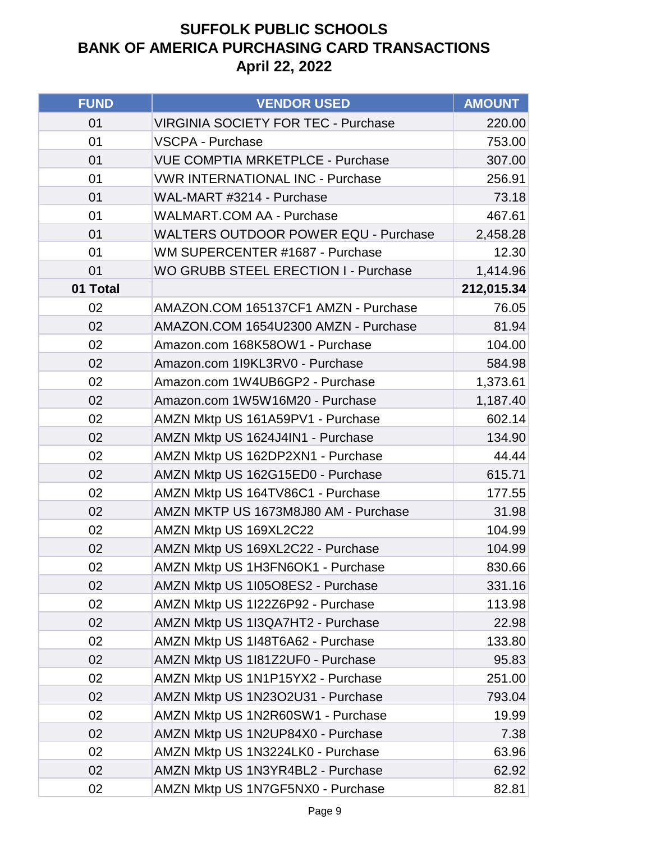| <b>FUND</b> | <b>VENDOR USED</b>                          | <b>AMOUNT</b> |
|-------------|---------------------------------------------|---------------|
| 01          | <b>VIRGINIA SOCIETY FOR TEC - Purchase</b>  | 220.00        |
| 01          | <b>VSCPA - Purchase</b>                     | 753.00        |
| 01          | <b>VUE COMPTIA MRKETPLCE - Purchase</b>     | 307.00        |
| 01          | <b>VWR INTERNATIONAL INC - Purchase</b>     | 256.91        |
| 01          | WAL-MART #3214 - Purchase                   | 73.18         |
| 01          | <b>WALMART.COM AA - Purchase</b>            | 467.61        |
| 01          | <b>WALTERS OUTDOOR POWER EQU - Purchase</b> | 2,458.28      |
| 01          | WM SUPERCENTER #1687 - Purchase             | 12.30         |
| 01          | <b>WO GRUBB STEEL ERECTION I - Purchase</b> | 1,414.96      |
| 01 Total    |                                             | 212,015.34    |
| 02          | AMAZON.COM 165137CF1 AMZN - Purchase        | 76.05         |
| 02          | AMAZON.COM 1654U2300 AMZN - Purchase        | 81.94         |
| 02          | Amazon.com 168K58OW1 - Purchase             | 104.00        |
| 02          | Amazon.com 1I9KL3RV0 - Purchase             | 584.98        |
| 02          | Amazon.com 1W4UB6GP2 - Purchase             | 1,373.61      |
| 02          | Amazon.com 1W5W16M20 - Purchase             | 1,187.40      |
| 02          | AMZN Mktp US 161A59PV1 - Purchase           | 602.14        |
| 02          | AMZN Mktp US 1624J4IN1 - Purchase           | 134.90        |
| 02          | AMZN Mktp US 162DP2XN1 - Purchase           | 44.44         |
| 02          | AMZN Mktp US 162G15ED0 - Purchase           | 615.71        |
| 02          | AMZN Mktp US 164TV86C1 - Purchase           | 177.55        |
| 02          | AMZN MKTP US 1673M8J80 AM - Purchase        | 31.98         |
| 02          | AMZN Mktp US 169XL2C22                      | 104.99        |
| 02          | AMZN Mktp US 169XL2C22 - Purchase           | 104.99        |
| 02          | AMZN Mktp US 1H3FN6OK1 - Purchase           | 830.66        |
| 02          | AMZN Mktp US 1105O8ES2 - Purchase           | 331.16        |
| 02          | AMZN Mktp US 1I22Z6P92 - Purchase           | 113.98        |
| 02          | AMZN Mktp US 1I3QA7HT2 - Purchase           | 22.98         |
| 02          | AMZN Mktp US 1I48T6A62 - Purchase           | 133.80        |
| 02          | AMZN Mktp US 1I81Z2UF0 - Purchase           | 95.83         |
| 02          | AMZN Mktp US 1N1P15YX2 - Purchase           | 251.00        |
| 02          | AMZN Mktp US 1N23O2U31 - Purchase           | 793.04        |
| 02          | AMZN Mktp US 1N2R60SW1 - Purchase           | 19.99         |
| 02          | AMZN Mktp US 1N2UP84X0 - Purchase           | 7.38          |
| 02          | AMZN Mktp US 1N3224LK0 - Purchase           | 63.96         |
| 02          | AMZN Mktp US 1N3YR4BL2 - Purchase           | 62.92         |
| 02          | AMZN Mktp US 1N7GF5NX0 - Purchase           | 82.81         |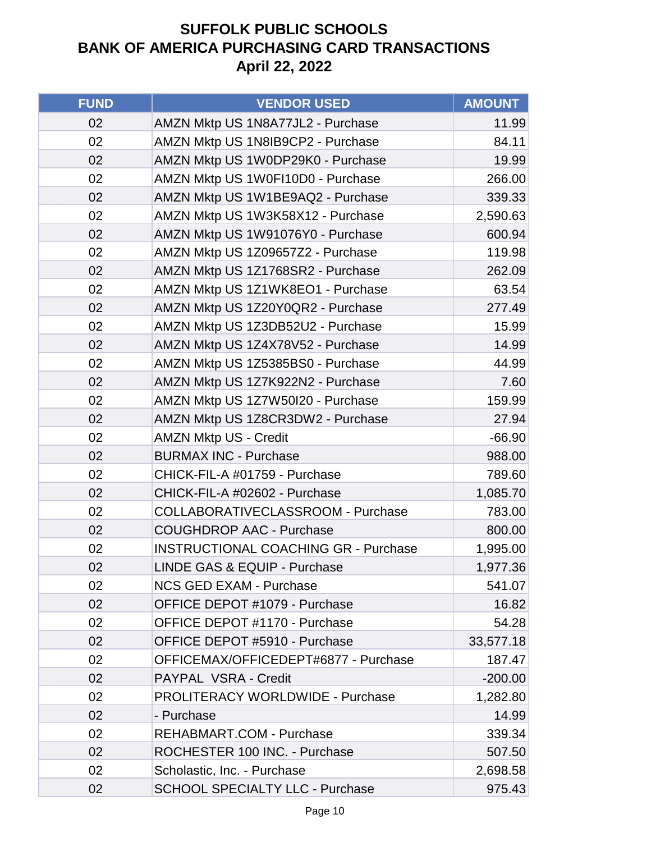| <b>FUND</b> | <b>VENDOR USED</b>                          | <b>AMOUNT</b> |
|-------------|---------------------------------------------|---------------|
| 02          | AMZN Mktp US 1N8A77JL2 - Purchase           | 11.99         |
| 02          | AMZN Mktp US 1N8IB9CP2 - Purchase           | 84.11         |
| 02          | AMZN Mktp US 1W0DP29K0 - Purchase           | 19.99         |
| 02          | AMZN Mktp US 1W0FI10D0 - Purchase           | 266.00        |
| 02          | AMZN Mktp US 1W1BE9AQ2 - Purchase           | 339.33        |
| 02          | AMZN Mktp US 1W3K58X12 - Purchase           | 2,590.63      |
| 02          | AMZN Mktp US 1W91076Y0 - Purchase           | 600.94        |
| 02          | AMZN Mktp US 1Z09657Z2 - Purchase           | 119.98        |
| 02          | AMZN Mktp US 1Z1768SR2 - Purchase           | 262.09        |
| 02          | AMZN Mktp US 1Z1WK8EO1 - Purchase           | 63.54         |
| 02          | AMZN Mktp US 1Z20Y0QR2 - Purchase           | 277.49        |
| 02          | AMZN Mktp US 1Z3DB52U2 - Purchase           | 15.99         |
| 02          | AMZN Mktp US 1Z4X78V52 - Purchase           | 14.99         |
| 02          | AMZN Mktp US 1Z5385BS0 - Purchase           | 44.99         |
| 02          | AMZN Mktp US 1Z7K922N2 - Purchase           | 7.60          |
| 02          | AMZN Mktp US 1Z7W50I20 - Purchase           | 159.99        |
| 02          | AMZN Mktp US 1Z8CR3DW2 - Purchase           | 27.94         |
| 02          | <b>AMZN Mktp US - Credit</b>                | $-66.90$      |
| 02          | <b>BURMAX INC - Purchase</b>                | 988.00        |
| 02          | CHICK-FIL-A #01759 - Purchase               | 789.60        |
| 02          | CHICK-FIL-A #02602 - Purchase               | 1,085.70      |
| 02          | COLLABORATIVECLASSROOM - Purchase           | 783.00        |
| 02          | <b>COUGHDROP AAC - Purchase</b>             | 800.00        |
| 02          | <b>INSTRUCTIONAL COACHING GR - Purchase</b> | 1,995.00      |
| 02          | LINDE GAS & EQUIP - Purchase                | 1,977.36      |
| 02          | <b>NCS GED EXAM - Purchase</b>              | 541.07        |
| 02          | OFFICE DEPOT #1079 - Purchase               | 16.82         |
| 02          | OFFICE DEPOT #1170 - Purchase               | 54.28         |
| 02          | OFFICE DEPOT #5910 - Purchase               | 33,577.18     |
| 02          | OFFICEMAX/OFFICEDEPT#6877 - Purchase        | 187.47        |
| 02          | PAYPAL VSRA - Credit                        | $-200.00$     |
| 02          | <b>PROLITERACY WORLDWIDE - Purchase</b>     | 1,282.80      |
| 02          | - Purchase                                  | 14.99         |
| 02          | <b>REHABMART.COM - Purchase</b>             | 339.34        |
| 02          | ROCHESTER 100 INC. - Purchase               | 507.50        |
| 02          | Scholastic, Inc. - Purchase                 | 2,698.58      |
| 02          | <b>SCHOOL SPECIALTY LLC - Purchase</b>      | 975.43        |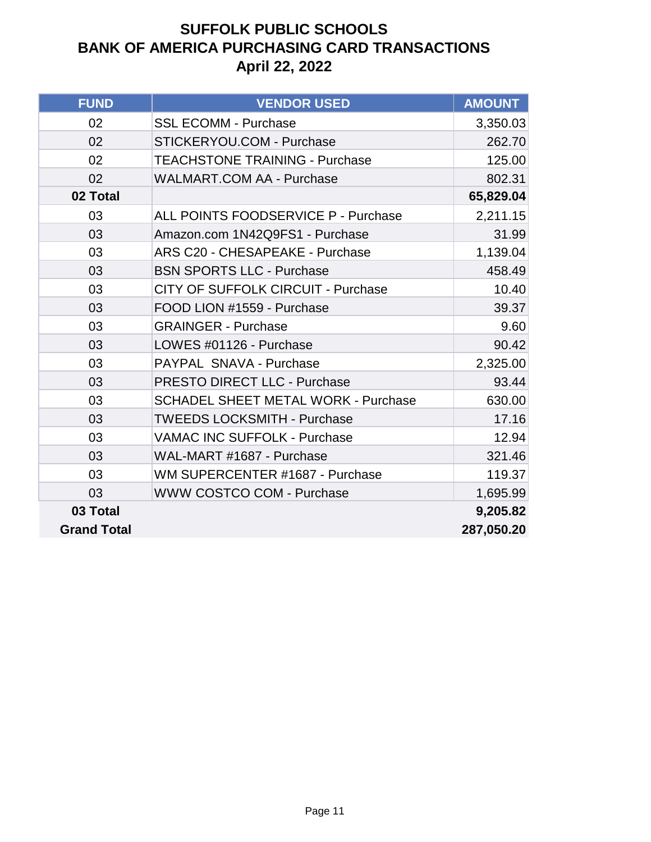| <b>FUND</b>        | <b>VENDOR USED</b>                         | <b>AMOUNT</b> |
|--------------------|--------------------------------------------|---------------|
| 02                 | <b>SSL ECOMM - Purchase</b>                | 3,350.03      |
| 02                 | STICKERYOU.COM - Purchase                  | 262.70        |
| 02                 | <b>TEACHSTONE TRAINING - Purchase</b>      | 125.00        |
| 02                 | <b>WALMART.COM AA - Purchase</b>           | 802.31        |
| 02 Total           |                                            | 65,829.04     |
| 03                 | <b>ALL POINTS FOODSERVICE P - Purchase</b> | 2,211.15      |
| 03                 | Amazon.com 1N42Q9FS1 - Purchase            | 31.99         |
| 03                 | <b>ARS C20 - CHESAPEAKE - Purchase</b>     | 1,139.04      |
| 03                 | <b>BSN SPORTS LLC - Purchase</b>           | 458.49        |
| 03                 | <b>CITY OF SUFFOLK CIRCUIT - Purchase</b>  | 10.40         |
| 03                 | FOOD LION #1559 - Purchase                 | 39.37         |
| 03                 | <b>GRAINGER - Purchase</b>                 | 9.60          |
| 03                 | LOWES #01126 - Purchase                    | 90.42         |
| 03                 | PAYPAL SNAVA - Purchase                    | 2,325.00      |
| 03                 | <b>PRESTO DIRECT LLC - Purchase</b>        | 93.44         |
| 03                 | <b>SCHADEL SHEET METAL WORK - Purchase</b> | 630.00        |
| 03                 | <b>TWEEDS LOCKSMITH - Purchase</b>         | 17.16         |
| 03                 | <b>VAMAC INC SUFFOLK - Purchase</b>        | 12.94         |
| 03                 | WAL-MART #1687 - Purchase                  | 321.46        |
| 03                 | WM SUPERCENTER #1687 - Purchase            | 119.37        |
| 03                 | <b>WWW COSTCO COM - Purchase</b>           | 1,695.99      |
| 03 Total           |                                            | 9,205.82      |
| <b>Grand Total</b> |                                            | 287,050.20    |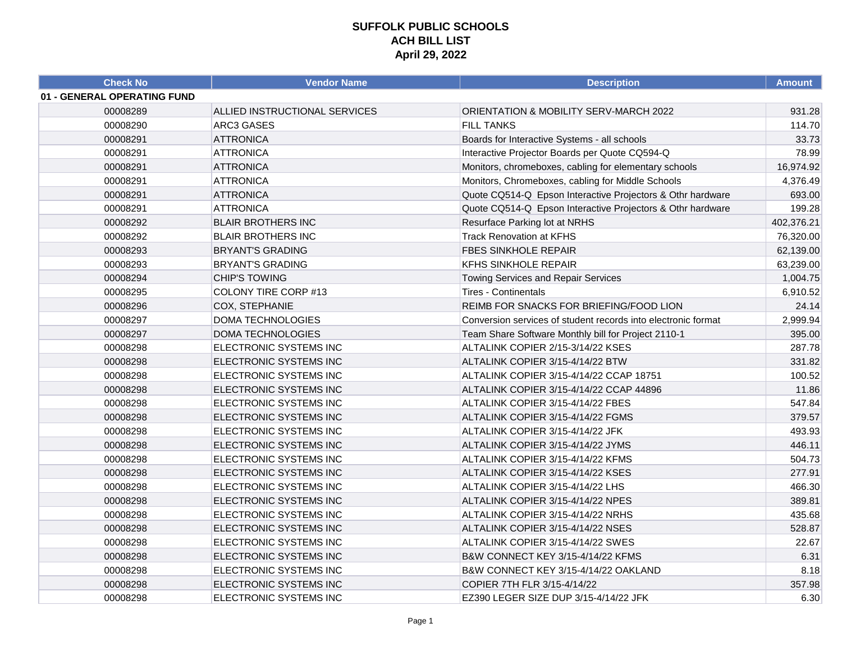| <b>Check No</b>             | <b>Vendor Name</b>            | <b>Description</b>                                            | <b>Amount</b> |
|-----------------------------|-------------------------------|---------------------------------------------------------------|---------------|
| 01 - GENERAL OPERATING FUND |                               |                                                               |               |
| 00008289                    | ALLIED INSTRUCTIONAL SERVICES | <b>ORIENTATION &amp; MOBILITY SERV-MARCH 2022</b>             | 931.28        |
| 00008290                    | <b>ARC3 GASES</b>             | <b>FILL TANKS</b>                                             | 114.70        |
| 00008291                    | <b>ATTRONICA</b>              | Boards for Interactive Systems - all schools                  | 33.73         |
| 00008291                    | <b>ATTRONICA</b>              | Interactive Projector Boards per Quote CQ594-Q                | 78.99         |
| 00008291                    | <b>ATTRONICA</b>              | Monitors, chromeboxes, cabling for elementary schools         | 16,974.92     |
| 00008291                    | <b>ATTRONICA</b>              | Monitors, Chromeboxes, cabling for Middle Schools             | 4,376.49      |
| 00008291                    | <b>ATTRONICA</b>              | Quote CQ514-Q Epson Interactive Projectors & Othr hardware    | 693.00        |
| 00008291                    | <b>ATTRONICA</b>              | Quote CQ514-Q Epson Interactive Projectors & Othr hardware    | 199.28        |
| 00008292                    | <b>BLAIR BROTHERS INC</b>     | Resurface Parking lot at NRHS                                 | 402,376.21    |
| 00008292                    | <b>BLAIR BROTHERS INC</b>     | <b>Track Renovation at KFHS</b>                               | 76,320.00     |
| 00008293                    | <b>BRYANT'S GRADING</b>       | <b>FBES SINKHOLE REPAIR</b>                                   | 62,139.00     |
| 00008293                    | <b>BRYANT'S GRADING</b>       | <b>KFHS SINKHOLE REPAIR</b>                                   | 63,239.00     |
| 00008294                    | <b>CHIP'S TOWING</b>          | <b>Towing Services and Repair Services</b>                    | 1,004.75      |
| 00008295                    | COLONY TIRE CORP #13          | <b>Tires - Continentals</b>                                   | 6,910.52      |
| 00008296                    | COX, STEPHANIE                | REIMB FOR SNACKS FOR BRIEFING/FOOD LION                       | 24.14         |
| 00008297                    | <b>DOMA TECHNOLOGIES</b>      | Conversion services of student records into electronic format | 2,999.94      |
| 00008297                    | <b>DOMA TECHNOLOGIES</b>      | Team Share Software Monthly bill for Project 2110-1           | 395.00        |
| 00008298                    | ELECTRONIC SYSTEMS INC        | ALTALINK COPIER 2/15-3/14/22 KSES                             | 287.78        |
| 00008298                    | ELECTRONIC SYSTEMS INC        | ALTALINK COPIER 3/15-4/14/22 BTW                              | 331.82        |
| 00008298                    | ELECTRONIC SYSTEMS INC        | ALTALINK COPIER 3/15-4/14/22 CCAP 18751                       | 100.52        |
| 00008298                    | ELECTRONIC SYSTEMS INC        | ALTALINK COPIER 3/15-4/14/22 CCAP 44896                       | 11.86         |
| 00008298                    | ELECTRONIC SYSTEMS INC        | ALTALINK COPIER 3/15-4/14/22 FBES                             | 547.84        |
| 00008298                    | ELECTRONIC SYSTEMS INC        | ALTALINK COPIER 3/15-4/14/22 FGMS                             | 379.57        |
| 00008298                    | ELECTRONIC SYSTEMS INC        | ALTALINK COPIER 3/15-4/14/22 JFK                              | 493.93        |
| 00008298                    | ELECTRONIC SYSTEMS INC        | ALTALINK COPIER 3/15-4/14/22 JYMS                             | 446.11        |
| 00008298                    | ELECTRONIC SYSTEMS INC        | ALTALINK COPIER 3/15-4/14/22 KFMS                             | 504.73        |
| 00008298                    | ELECTRONIC SYSTEMS INC        | ALTALINK COPIER 3/15-4/14/22 KSES                             | 277.91        |
| 00008298                    | ELECTRONIC SYSTEMS INC        | ALTALINK COPIER 3/15-4/14/22 LHS                              | 466.30        |
| 00008298                    | ELECTRONIC SYSTEMS INC        | ALTALINK COPIER 3/15-4/14/22 NPES                             | 389.81        |
| 00008298                    | ELECTRONIC SYSTEMS INC        | ALTALINK COPIER 3/15-4/14/22 NRHS                             | 435.68        |
| 00008298                    | ELECTRONIC SYSTEMS INC        | ALTALINK COPIER 3/15-4/14/22 NSES                             | 528.87        |
| 00008298                    | ELECTRONIC SYSTEMS INC        | ALTALINK COPIER 3/15-4/14/22 SWES                             | 22.67         |
| 00008298                    | ELECTRONIC SYSTEMS INC        | B&W CONNECT KEY 3/15-4/14/22 KFMS                             | 6.31          |
| 00008298                    | ELECTRONIC SYSTEMS INC        | B&W CONNECT KEY 3/15-4/14/22 OAKLAND                          | 8.18          |
| 00008298                    | ELECTRONIC SYSTEMS INC        | COPIER 7TH FLR 3/15-4/14/22                                   | 357.98        |
| 00008298                    | ELECTRONIC SYSTEMS INC        | EZ390 LEGER SIZE DUP 3/15-4/14/22 JFK                         | 6.30          |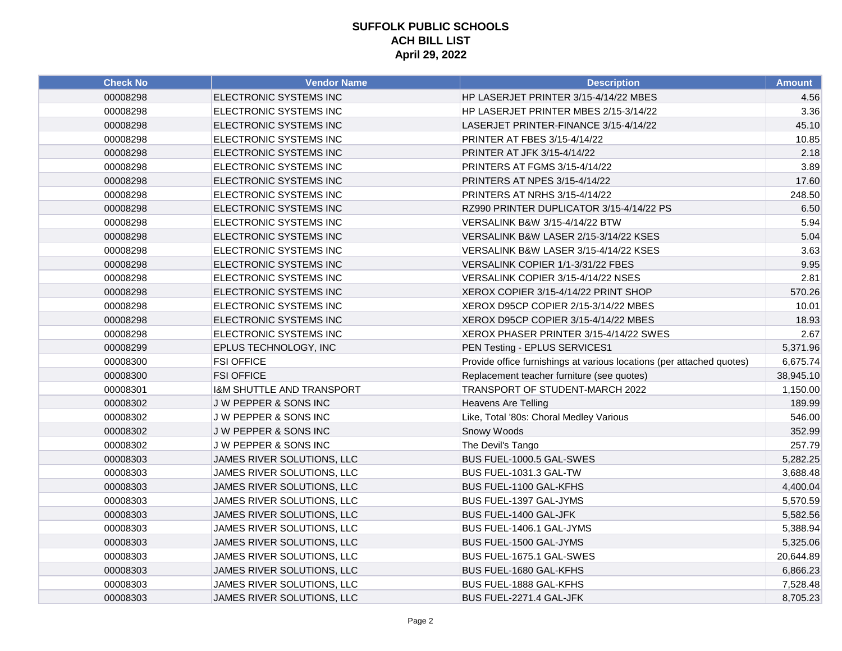| <b>Check No</b> | <b>Vendor Name</b>                   | <b>Description</b>                                                    | <b>Amount</b> |
|-----------------|--------------------------------------|-----------------------------------------------------------------------|---------------|
| 00008298        | ELECTRONIC SYSTEMS INC               | HP LASERJET PRINTER 3/15-4/14/22 MBES                                 | 4.56          |
| 00008298        | ELECTRONIC SYSTEMS INC               | HP LASERJET PRINTER MBES 2/15-3/14/22                                 | 3.36          |
| 00008298        | ELECTRONIC SYSTEMS INC               | LASERJET PRINTER-FINANCE 3/15-4/14/22                                 | 45.10         |
| 00008298        | ELECTRONIC SYSTEMS INC               | PRINTER AT FBES 3/15-4/14/22                                          | 10.85         |
| 00008298        | ELECTRONIC SYSTEMS INC               | PRINTER AT JFK 3/15-4/14/22                                           | 2.18          |
| 00008298        | ELECTRONIC SYSTEMS INC               | PRINTERS AT FGMS 3/15-4/14/22                                         | 3.89          |
| 00008298        | ELECTRONIC SYSTEMS INC               | PRINTERS AT NPES 3/15-4/14/22                                         | 17.60         |
| 00008298        | ELECTRONIC SYSTEMS INC               | PRINTERS AT NRHS 3/15-4/14/22                                         | 248.50        |
| 00008298        | ELECTRONIC SYSTEMS INC               | RZ990 PRINTER DUPLICATOR 3/15-4/14/22 PS                              | 6.50          |
| 00008298        | ELECTRONIC SYSTEMS INC               | VERSALINK B&W 3/15-4/14/22 BTW                                        | 5.94          |
| 00008298        | ELECTRONIC SYSTEMS INC               | VERSALINK B&W LASER 2/15-3/14/22 KSES                                 | 5.04          |
| 00008298        | ELECTRONIC SYSTEMS INC               | VERSALINK B&W LASER 3/15-4/14/22 KSES                                 | 3.63          |
| 00008298        | ELECTRONIC SYSTEMS INC               | VERSALINK COPIER 1/1-3/31/22 FBES                                     | 9.95          |
| 00008298        | ELECTRONIC SYSTEMS INC               | VERSALINK COPIER 3/15-4/14/22 NSES                                    | 2.81          |
| 00008298        | ELECTRONIC SYSTEMS INC               | XEROX COPIER 3/15-4/14/22 PRINT SHOP                                  | 570.26        |
| 00008298        | ELECTRONIC SYSTEMS INC               | XEROX D95CP COPIER 2/15-3/14/22 MBES                                  | 10.01         |
| 00008298        | ELECTRONIC SYSTEMS INC               | XEROX D95CP COPIER 3/15-4/14/22 MBES                                  | 18.93         |
| 00008298        | ELECTRONIC SYSTEMS INC               | XEROX PHASER PRINTER 3/15-4/14/22 SWES                                | 2.67          |
| 00008299        | EPLUS TECHNOLOGY, INC                | PEN Testing - EPLUS SERVICES1                                         | 5,371.96      |
| 00008300        | <b>FSI OFFICE</b>                    | Provide office furnishings at various locations (per attached quotes) | 6,675.74      |
| 00008300        | <b>FSI OFFICE</b>                    | Replacement teacher furniture (see quotes)                            | 38,945.10     |
| 00008301        | <b>I&amp;M SHUTTLE AND TRANSPORT</b> | TRANSPORT OF STUDENT-MARCH 2022                                       | 1,150.00      |
| 00008302        | J W PEPPER & SONS INC                | <b>Heavens Are Telling</b>                                            | 189.99        |
| 00008302        | J W PEPPER & SONS INC                | Like, Total '80s: Choral Medley Various                               | 546.00        |
| 00008302        | J W PEPPER & SONS INC                | Snowy Woods                                                           | 352.99        |
| 00008302        | J W PEPPER & SONS INC                | The Devil's Tango                                                     | 257.79        |
| 00008303        | JAMES RIVER SOLUTIONS, LLC           | BUS FUEL-1000.5 GAL-SWES                                              | 5,282.25      |
| 00008303        | JAMES RIVER SOLUTIONS, LLC           | BUS FUEL-1031.3 GAL-TW                                                | 3,688.48      |
| 00008303        | JAMES RIVER SOLUTIONS, LLC           | BUS FUEL-1100 GAL-KFHS                                                | 4,400.04      |
| 00008303        | JAMES RIVER SOLUTIONS, LLC           | BUS FUEL-1397 GAL-JYMS                                                | 5,570.59      |
| 00008303        | JAMES RIVER SOLUTIONS, LLC           | BUS FUEL-1400 GAL-JFK                                                 | 5,582.56      |
| 00008303        | JAMES RIVER SOLUTIONS, LLC           | BUS FUEL-1406.1 GAL-JYMS                                              | 5,388.94      |
| 00008303        | JAMES RIVER SOLUTIONS, LLC           | BUS FUEL-1500 GAL-JYMS                                                | 5,325.06      |
| 00008303        | JAMES RIVER SOLUTIONS, LLC           | BUS FUEL-1675.1 GAL-SWES                                              | 20,644.89     |
| 00008303        | JAMES RIVER SOLUTIONS, LLC           | BUS FUEL-1680 GAL-KFHS                                                | 6,866.23      |
| 00008303        | JAMES RIVER SOLUTIONS, LLC           | BUS FUEL-1888 GAL-KFHS                                                | 7,528.48      |
| 00008303        | JAMES RIVER SOLUTIONS, LLC           | BUS FUEL-2271.4 GAL-JFK                                               | 8,705.23      |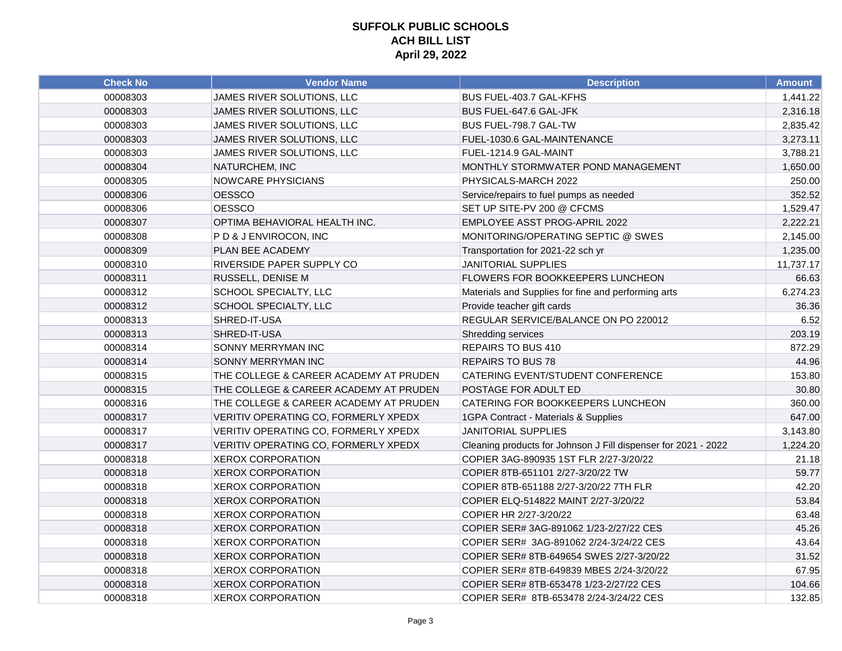| <b>Check No</b> | <b>Vendor Name</b>                     | <b>Description</b>                                             | Amount    |
|-----------------|----------------------------------------|----------------------------------------------------------------|-----------|
| 00008303        | JAMES RIVER SOLUTIONS, LLC             | BUS FUEL-403.7 GAL-KFHS                                        | 1,441.22  |
| 00008303        | JAMES RIVER SOLUTIONS, LLC             | BUS FUEL-647.6 GAL-JFK                                         | 2,316.18  |
| 00008303        | JAMES RIVER SOLUTIONS, LLC             | BUS FUEL-798.7 GAL-TW                                          | 2,835.42  |
| 00008303        | JAMES RIVER SOLUTIONS, LLC             | FUEL-1030.6 GAL-MAINTENANCE                                    | 3,273.11  |
| 00008303        | JAMES RIVER SOLUTIONS, LLC             | FUEL-1214.9 GAL-MAINT                                          | 3,788.21  |
| 00008304        | NATURCHEM, INC                         | MONTHLY STORMWATER POND MANAGEMENT                             | 1,650.00  |
| 00008305        | <b>NOWCARE PHYSICIANS</b>              | PHYSICALS-MARCH 2022                                           | 250.00    |
| 00008306        | <b>OESSCO</b>                          | Service/repairs to fuel pumps as needed                        | 352.52    |
| 00008306        | <b>OESSCO</b>                          | SET UP SITE-PV 200 @ CFCMS                                     | 1,529.47  |
| 00008307        | OPTIMA BEHAVIORAL HEALTH INC.          | EMPLOYEE ASST PROG-APRIL 2022                                  | 2,222.21  |
| 00008308        | PD & J ENVIROCON, INC                  | MONITORING/OPERATING SEPTIC @ SWES                             | 2,145.00  |
| 00008309        | PLAN BEE ACADEMY                       | Transportation for 2021-22 sch yr                              | 1,235.00  |
| 00008310        | RIVERSIDE PAPER SUPPLY CO              | <b>JANITORIAL SUPPLIES</b>                                     | 11,737.17 |
| 00008311        | RUSSELL, DENISE M                      | FLOWERS FOR BOOKKEEPERS LUNCHEON                               | 66.63     |
| 00008312        | SCHOOL SPECIALTY, LLC                  | Materials and Supplies for fine and performing arts            | 6,274.23  |
| 00008312        | SCHOOL SPECIALTY, LLC                  | Provide teacher gift cards                                     | 36.36     |
| 00008313        | SHRED-IT-USA                           | REGULAR SERVICE/BALANCE ON PO 220012                           | 6.52      |
| 00008313        | SHRED-IT-USA                           | Shredding services                                             | 203.19    |
| 00008314        | SONNY MERRYMAN INC                     | REPAIRS TO BUS 410                                             | 872.29    |
| 00008314        | SONNY MERRYMAN INC                     | <b>REPAIRS TO BUS 78</b>                                       | 44.96     |
| 00008315        | THE COLLEGE & CAREER ACADEMY AT PRUDEN | CATERING EVENT/STUDENT CONFERENCE                              | 153.80    |
| 00008315        | THE COLLEGE & CAREER ACADEMY AT PRUDEN | POSTAGE FOR ADULT ED                                           | 30.80     |
| 00008316        | THE COLLEGE & CAREER ACADEMY AT PRUDEN | CATERING FOR BOOKKEEPERS LUNCHEON                              | 360.00    |
| 00008317        | VERITIV OPERATING CO, FORMERLY XPEDX   | 1GPA Contract - Materials & Supplies                           | 647.00    |
| 00008317        | VERITIV OPERATING CO, FORMERLY XPEDX   | <b>JANITORIAL SUPPLIES</b>                                     | 3,143.80  |
| 00008317        | VERITIV OPERATING CO, FORMERLY XPEDX   | Cleaning products for Johnson J Fill dispenser for 2021 - 2022 | 1,224.20  |
| 00008318        | <b>XEROX CORPORATION</b>               | COPIER 3AG-890935 1ST FLR 2/27-3/20/22                         | 21.18     |
| 00008318        | <b>XEROX CORPORATION</b>               | COPIER 8TB-651101 2/27-3/20/22 TW                              | 59.77     |
| 00008318        | <b>XEROX CORPORATION</b>               | COPIER 8TB-651188 2/27-3/20/22 7TH FLR                         | 42.20     |
| 00008318        | <b>XEROX CORPORATION</b>               | COPIER ELQ-514822 MAINT 2/27-3/20/22                           | 53.84     |
| 00008318        | <b>XEROX CORPORATION</b>               | COPIER HR 2/27-3/20/22                                         | 63.48     |
| 00008318        | <b>XEROX CORPORATION</b>               | COPIER SER# 3AG-891062 1/23-2/27/22 CES                        | 45.26     |
| 00008318        | <b>XEROX CORPORATION</b>               | COPIER SER# 3AG-891062 2/24-3/24/22 CES                        | 43.64     |
| 00008318        | <b>XEROX CORPORATION</b>               | COPIER SER# 8TB-649654 SWES 2/27-3/20/22                       | 31.52     |
| 00008318        | <b>XEROX CORPORATION</b>               | COPIER SER# 8TB-649839 MBES 2/24-3/20/22                       | 67.95     |
| 00008318        | <b>XEROX CORPORATION</b>               | COPIER SER# 8TB-653478 1/23-2/27/22 CES                        | 104.66    |
| 00008318        | <b>XEROX CORPORATION</b>               | COPIER SER# 8TB-653478 2/24-3/24/22 CES                        | 132.85    |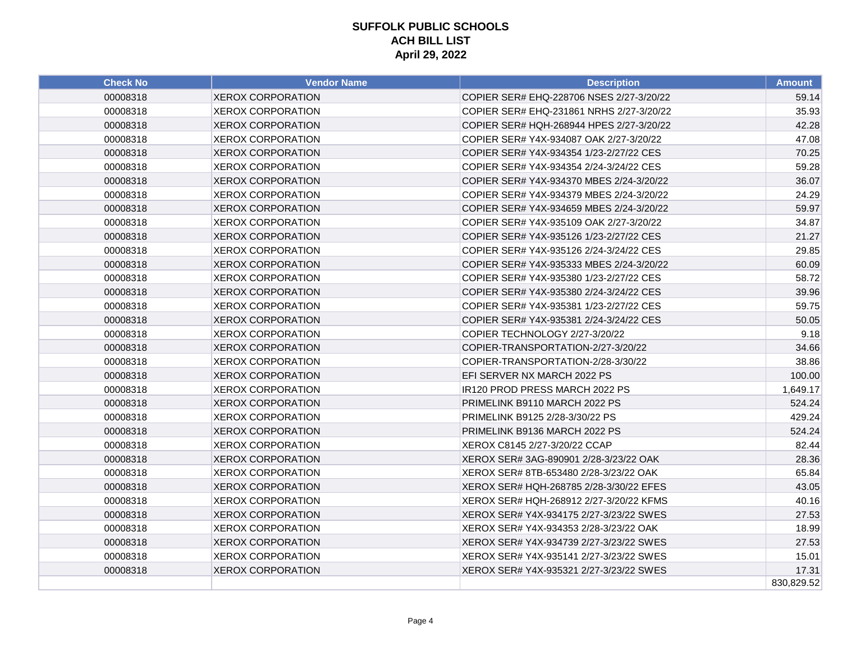| <b>Check No</b> | <b>Vendor Name</b>       | <b>Description</b>                       | <b>Amount</b> |
|-----------------|--------------------------|------------------------------------------|---------------|
| 00008318        | <b>XEROX CORPORATION</b> | COPIER SER# EHQ-228706 NSES 2/27-3/20/22 | 59.14         |
| 00008318        | <b>XEROX CORPORATION</b> | COPIER SER# EHQ-231861 NRHS 2/27-3/20/22 | 35.93         |
| 00008318        | <b>XEROX CORPORATION</b> | COPIER SER# HQH-268944 HPES 2/27-3/20/22 | 42.28         |
| 00008318        | <b>XEROX CORPORATION</b> | COPIER SER# Y4X-934087 OAK 2/27-3/20/22  | 47.08         |
| 00008318        | <b>XEROX CORPORATION</b> | COPIER SER# Y4X-934354 1/23-2/27/22 CES  | 70.25         |
| 00008318        | <b>XEROX CORPORATION</b> | COPIER SER# Y4X-934354 2/24-3/24/22 CES  | 59.28         |
| 00008318        | <b>XEROX CORPORATION</b> | COPIER SER# Y4X-934370 MBES 2/24-3/20/22 | 36.07         |
| 00008318        | <b>XEROX CORPORATION</b> | COPIER SER# Y4X-934379 MBES 2/24-3/20/22 | 24.29         |
| 00008318        | <b>XEROX CORPORATION</b> | COPIER SER# Y4X-934659 MBES 2/24-3/20/22 | 59.97         |
| 00008318        | <b>XEROX CORPORATION</b> | COPIER SER# Y4X-935109 OAK 2/27-3/20/22  | 34.87         |
| 00008318        | <b>XEROX CORPORATION</b> | COPIER SER# Y4X-935126 1/23-2/27/22 CES  | 21.27         |
| 00008318        | <b>XEROX CORPORATION</b> | COPIER SER# Y4X-935126 2/24-3/24/22 CES  | 29.85         |
| 00008318        | <b>XEROX CORPORATION</b> | COPIER SER# Y4X-935333 MBES 2/24-3/20/22 | 60.09         |
| 00008318        | <b>XEROX CORPORATION</b> | COPIER SER# Y4X-935380 1/23-2/27/22 CES  | 58.72         |
| 00008318        | <b>XEROX CORPORATION</b> | COPIER SER# Y4X-935380 2/24-3/24/22 CES  | 39.96         |
| 00008318        | <b>XEROX CORPORATION</b> | COPIER SER# Y4X-935381 1/23-2/27/22 CES  | 59.75         |
| 00008318        | <b>XEROX CORPORATION</b> | COPIER SER# Y4X-935381 2/24-3/24/22 CES  | 50.05         |
| 00008318        | <b>XEROX CORPORATION</b> | COPIER TECHNOLOGY 2/27-3/20/22           | 9.18          |
| 00008318        | <b>XEROX CORPORATION</b> | COPIER-TRANSPORTATION-2/27-3/20/22       | 34.66         |
| 00008318        | <b>XEROX CORPORATION</b> | COPIER-TRANSPORTATION-2/28-3/30/22       | 38.86         |
| 00008318        | <b>XEROX CORPORATION</b> | EFI SERVER NX MARCH 2022 PS              | 100.00        |
| 00008318        | <b>XEROX CORPORATION</b> | IR120 PROD PRESS MARCH 2022 PS           | 1,649.17      |
| 00008318        | <b>XEROX CORPORATION</b> | PRIMELINK B9110 MARCH 2022 PS            | 524.24        |
| 00008318        | <b>XEROX CORPORATION</b> | PRIMELINK B9125 2/28-3/30/22 PS          | 429.24        |
| 00008318        | <b>XEROX CORPORATION</b> | PRIMELINK B9136 MARCH 2022 PS            | 524.24        |
| 00008318        | <b>XEROX CORPORATION</b> | XEROX C8145 2/27-3/20/22 CCAP            | 82.44         |
| 00008318        | <b>XEROX CORPORATION</b> | XEROX SER# 3AG-890901 2/28-3/23/22 OAK   | 28.36         |
| 00008318        | <b>XEROX CORPORATION</b> | XEROX SER# 8TB-653480 2/28-3/23/22 OAK   | 65.84         |
| 00008318        | <b>XEROX CORPORATION</b> | XEROX SER# HQH-268785 2/28-3/30/22 EFES  | 43.05         |
| 00008318        | <b>XEROX CORPORATION</b> | XEROX SER# HQH-268912 2/27-3/20/22 KFMS  | 40.16         |
| 00008318        | <b>XEROX CORPORATION</b> | XEROX SER# Y4X-934175 2/27-3/23/22 SWES  | 27.53         |
| 00008318        | <b>XEROX CORPORATION</b> | XEROX SER# Y4X-934353 2/28-3/23/22 OAK   | 18.99         |
| 00008318        | <b>XEROX CORPORATION</b> | XEROX SER# Y4X-934739 2/27-3/23/22 SWES  | 27.53         |
| 00008318        | <b>XEROX CORPORATION</b> | XEROX SER# Y4X-935141 2/27-3/23/22 SWES  | 15.01         |
| 00008318        | <b>XEROX CORPORATION</b> | XEROX SER# Y4X-935321 2/27-3/23/22 SWES  | 17.31         |
|                 |                          |                                          | 830,829.52    |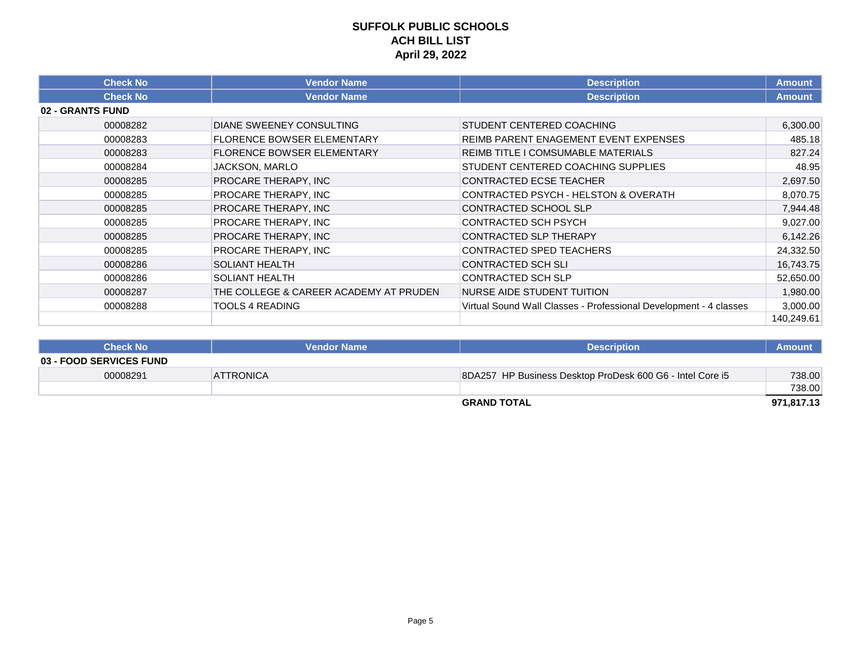| <b>Check No</b>  | <b>Vendor Name</b>                     | <b>Description</b>                                                | <b>Amount</b> |
|------------------|----------------------------------------|-------------------------------------------------------------------|---------------|
| <b>Check No</b>  | <b>Vendor Name</b>                     | <b>Description</b>                                                | <b>Amount</b> |
| 02 - GRANTS FUND |                                        |                                                                   |               |
| 00008282         | DIANE SWEENEY CONSULTING               | STUDENT CENTERED COACHING                                         | 6,300.00      |
| 00008283         | <b>FLORENCE BOWSER ELEMENTARY</b>      | <b>REIMB PARENT ENAGEMENT EVENT EXPENSES</b>                      | 485.18        |
| 00008283         | <b>FLORENCE BOWSER ELEMENTARY</b>      | <b>REIMB TITLE I COMSUMABLE MATERIALS</b>                         | 827.24        |
| 00008284         | JACKSON, MARLO                         | STUDENT CENTERED COACHING SUPPLIES                                | 48.95         |
| 00008285         | PROCARE THERAPY, INC                   | <b>CONTRACTED ECSE TEACHER</b>                                    | 2,697.50      |
| 00008285         | PROCARE THERAPY, INC                   | CONTRACTED PSYCH - HELSTON & OVERATH                              | 8,070.75      |
| 00008285         | PROCARE THERAPY, INC                   | CONTRACTED SCHOOL SLP                                             | 7,944.48      |
| 00008285         | PROCARE THERAPY, INC                   | <b>CONTRACTED SCH PSYCH</b>                                       | 9,027.00      |
| 00008285         | PROCARE THERAPY, INC                   | <b>CONTRACTED SLP THERAPY</b>                                     | 6,142.26      |
| 00008285         | PROCARE THERAPY, INC                   | CONTRACTED SPED TEACHERS                                          | 24,332.50     |
| 00008286         | <b>SOLIANT HEALTH</b>                  | <b>CONTRACTED SCH SLI</b>                                         | 16,743.75     |
| 00008286         | <b>SOLIANT HEALTH</b>                  | <b>CONTRACTED SCH SLP</b>                                         | 52,650.00     |
| 00008287         | THE COLLEGE & CAREER ACADEMY AT PRUDEN | NURSE AIDE STUDENT TUITION                                        | 1,980.00      |
| 00008288         | <b>TOOLS 4 READING</b>                 | Virtual Sound Wall Classes - Professional Development - 4 classes | 3,000.00      |
|                  |                                        |                                                                   | 140,249.61    |

| <b>Check No</b>                | <b>Vendor Name</b> | <b>Description</b>                                        | <b>Amount</b> |
|--------------------------------|--------------------|-----------------------------------------------------------|---------------|
| <b>03 - FOOD SERVICES FUND</b> |                    |                                                           |               |
| 00008291                       | <b>ATTRONICA</b>   | 8DA257 HP Business Desktop ProDesk 600 G6 - Intel Core i5 | 738.00        |
|                                |                    |                                                           | 738.00        |
|                                |                    | <b>GRAND TOTAL</b>                                        | 971,817.13    |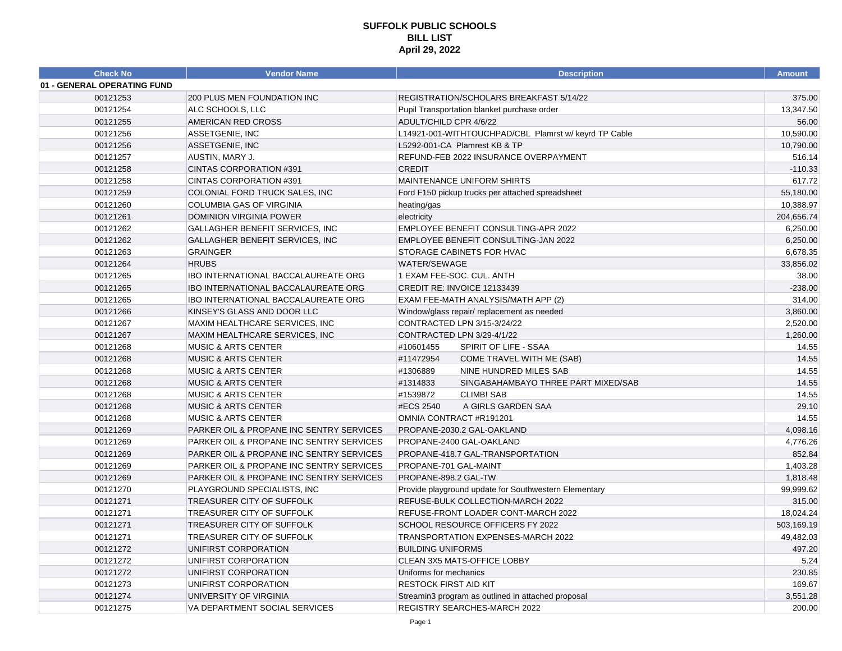| <b>Check No</b>             | <b>Vendor Name</b>                       | <b>Description</b>                                    | <b>Amount</b> |
|-----------------------------|------------------------------------------|-------------------------------------------------------|---------------|
| 01 - GENERAL OPERATING FUND |                                          |                                                       |               |
| 00121253                    | 200 PLUS MEN FOUNDATION INC              | REGISTRATION/SCHOLARS BREAKFAST 5/14/22               | 375.00        |
| 00121254                    | ALC SCHOOLS, LLC                         | Pupil Transportation blanket purchase order           | 13,347.50     |
| 00121255                    | AMERICAN RED CROSS                       | ADULT/CHILD CPR 4/6/22                                | 56.00         |
| 00121256                    | ASSETGENIE, INC                          | L14921-001-WITHTOUCHPAD/CBL Plamrst w/ keyrd TP Cable | 10,590.00     |
| 00121256                    | ASSETGENIE, INC                          | L5292-001-CA Plamrest KB & TP                         | 10,790.00     |
| 00121257                    | AUSTIN, MARY J.                          | REFUND-FEB 2022 INSURANCE OVERPAYMENT                 | 516.14        |
| 00121258                    | CINTAS CORPORATION #391                  | <b>CREDIT</b>                                         | $-110.33$     |
| 00121258                    | CINTAS CORPORATION #391                  | MAINTENANCE UNIFORM SHIRTS                            | 617.72        |
| 00121259                    | COLONIAL FORD TRUCK SALES, INC           | Ford F150 pickup trucks per attached spreadsheet      | 55,180.00     |
| 00121260                    | COLUMBIA GAS OF VIRGINIA                 | heating/gas                                           | 10,388.97     |
| 00121261                    | <b>DOMINION VIRGINIA POWER</b>           | electricity                                           | 204,656.74    |
| 00121262                    | GALLAGHER BENEFIT SERVICES, INC          | EMPLOYEE BENEFIT CONSULTING-APR 2022                  | 6,250.00      |
| 00121262                    | GALLAGHER BENEFIT SERVICES, INC          | EMPLOYEE BENEFIT CONSULTING-JAN 2022                  | 6,250.00      |
| 00121263                    | <b>GRAINGER</b>                          | STORAGE CABINETS FOR HVAC                             | 6,678.35      |
| 00121264                    | <b>HRUBS</b>                             | WATER/SEWAGE                                          | 33,856.02     |
| 00121265                    | IBO INTERNATIONAL BACCALAUREATE ORG      | 1 EXAM FEE-SOC. CUL. ANTH                             | 38.00         |
| 00121265                    | IBO INTERNATIONAL BACCALAUREATE ORG      | CREDIT RE: INVOICE 12133439                           | $-238.00$     |
| 00121265                    | IBO INTERNATIONAL BACCALAUREATE ORG      | EXAM FEE-MATH ANALYSIS/MATH APP (2)                   | 314.00        |
| 00121266                    | KINSEY'S GLASS AND DOOR LLC              | Window/glass repair/ replacement as needed            | 3,860.00      |
| 00121267                    | MAXIM HEALTHCARE SERVICES, INC           | CONTRACTED LPN 3/15-3/24/22                           | 2,520.00      |
| 00121267                    | MAXIM HEALTHCARE SERVICES, INC           | CONTRACTED LPN 3/29-4/1/22                            | 1,260.00      |
| 00121268                    | <b>MUSIC &amp; ARTS CENTER</b>           | #10601455<br>SPIRIT OF LIFE - SSAA                    | 14.55         |
| 00121268                    | <b>MUSIC &amp; ARTS CENTER</b>           | #11472954<br>COME TRAVEL WITH ME (SAB)                | 14.55         |
| 00121268                    | <b>MUSIC &amp; ARTS CENTER</b>           | #1306889<br>NINE HUNDRED MILES SAB                    | 14.55         |
| 00121268                    | <b>MUSIC &amp; ARTS CENTER</b>           | #1314833<br>SINGABAHAMBAYO THREE PART MIXED/SAB       | 14.55         |
| 00121268                    | <b>MUSIC &amp; ARTS CENTER</b>           | <b>CLIMB! SAB</b><br>#1539872                         | 14.55         |
| 00121268                    | <b>MUSIC &amp; ARTS CENTER</b>           | #ECS 2540<br>A GIRLS GARDEN SAA                       | 29.10         |
| 00121268                    | <b>MUSIC &amp; ARTS CENTER</b>           | OMNIA CONTRACT #R191201                               | 14.55         |
| 00121269                    | PARKER OIL & PROPANE INC SENTRY SERVICES | PROPANE-2030.2 GAL-OAKLAND                            | 4,098.16      |
| 00121269                    | PARKER OIL & PROPANE INC SENTRY SERVICES | PROPANE-2400 GAL-OAKLAND                              | 4,776.26      |
| 00121269                    | PARKER OIL & PROPANE INC SENTRY SERVICES | PROPANE-418.7 GAL-TRANSPORTATION                      | 852.84        |
| 00121269                    | PARKER OIL & PROPANE INC SENTRY SERVICES | PROPANE-701 GAL-MAINT                                 | 1,403.28      |
| 00121269                    | PARKER OIL & PROPANE INC SENTRY SERVICES | PROPANE-898.2 GAL-TW                                  | 1,818.48      |
| 00121270                    | PLAYGROUND SPECIALISTS, INC              | Provide playground update for Southwestern Elementary | 99,999.62     |
| 00121271                    | TREASURER CITY OF SUFFOLK                | REFUSE-BULK COLLECTION-MARCH 2022                     | 315.00        |
| 00121271                    | TREASURER CITY OF SUFFOLK                | REFUSE-FRONT LOADER CONT-MARCH 2022                   | 18,024.24     |
| 00121271                    | <b>TREASURER CITY OF SUFFOLK</b>         | SCHOOL RESOURCE OFFICERS FY 2022                      | 503,169.19    |
| 00121271                    | TREASURER CITY OF SUFFOLK                | TRANSPORTATION EXPENSES-MARCH 2022                    | 49,482.03     |
| 00121272                    | UNIFIRST CORPORATION                     | <b>BUILDING UNIFORMS</b>                              | 497.20        |
| 00121272                    | UNIFIRST CORPORATION                     | CLEAN 3X5 MATS-OFFICE LOBBY                           | 5.24          |
| 00121272                    | UNIFIRST CORPORATION                     | Uniforms for mechanics                                | 230.85        |
| 00121273                    | UNIFIRST CORPORATION                     | <b>RESTOCK FIRST AID KIT</b>                          | 169.67        |
| 00121274                    | UNIVERSITY OF VIRGINIA                   | Streamin3 program as outlined in attached proposal    | 3,551.28      |
| 00121275                    | VA DEPARTMENT SOCIAL SERVICES            | <b>REGISTRY SEARCHES-MARCH 2022</b>                   | 200.00        |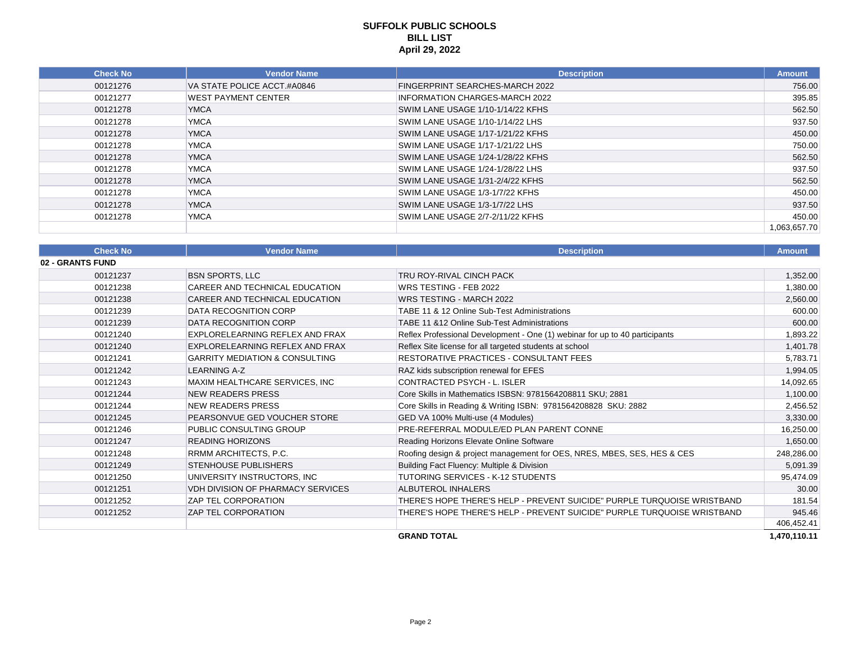| <b>Check No</b> | <b>Vendor Name</b>          | <b>Description</b>                    | <b>Amount</b> |
|-----------------|-----------------------------|---------------------------------------|---------------|
| 00121276        | VA STATE POLICE ACCT.#A0846 | FINGERPRINT SEARCHES-MARCH 2022       | 756.00        |
| 00121277        | <b>WEST PAYMENT CENTER</b>  | <b>INFORMATION CHARGES-MARCH 2022</b> | 395.85        |
| 00121278        | <b>YMCA</b>                 | SWIM LANE USAGE 1/10-1/14/22 KFHS     | 562.50        |
| 00121278        | <b>YMCA</b>                 | SWIM LANE USAGE 1/10-1/14/22 LHS      | 937.50        |
| 00121278        | <b>YMCA</b>                 | SWIM LANE USAGE 1/17-1/21/22 KFHS     | 450.00        |
| 00121278        | <b>YMCA</b>                 | SWIM LANE USAGE 1/17-1/21/22 LHS      | 750.00        |
| 00121278        | <b>YMCA</b>                 | SWIM LANE USAGE 1/24-1/28/22 KFHS     | 562.50        |
| 00121278        | YMCA                        | SWIM LANE USAGE 1/24-1/28/22 LHS      | 937.50        |
| 00121278        | YMCA                        | SWIM LANE USAGE 1/31-2/4/22 KFHS      | 562.50        |
| 00121278        | <b>YMCA</b>                 | SWIM LANE USAGE 1/3-1/7/22 KFHS       | 450.00        |
| 00121278        | <b>YMCA</b>                 | SWIM LANE USAGE 1/3-1/7/22 LHS        | 937.50        |
| 00121278        | <b>YMCA</b>                 | SWIM LANE USAGE 2/7-2/11/22 KFHS      | 450.00        |
|                 |                             |                                       | 1,063,657.70  |

| <b>Check No</b>  | <b>Vendor Name</b>                        | <b>Description</b>                                                          | <b>Amount</b> |
|------------------|-------------------------------------------|-----------------------------------------------------------------------------|---------------|
| 02 - GRANTS FUND |                                           |                                                                             |               |
| 00121237         | <b>BSN SPORTS, LLC</b>                    | TRU ROY-RIVAL CINCH PACK                                                    | 1,352.00      |
| 00121238         | CAREER AND TECHNICAL EDUCATION            | WRS TESTING - FEB 2022                                                      | 1,380.00      |
| 00121238         | CAREER AND TECHNICAL EDUCATION            | WRS TESTING - MARCH 2022                                                    | 2,560.00      |
| 00121239         | DATA RECOGNITION CORP                     | TABE 11 & 12 Online Sub-Test Administrations                                | 600.00        |
| 00121239         | DATA RECOGNITION CORP                     | TABE 11 & 12 Online Sub-Test Administrations                                | 600.00        |
| 00121240         | EXPLORELEARNING REFLEX AND FRAX           | Reflex Professional Development - One (1) webinar for up to 40 participants | 1,893.22      |
| 00121240         | EXPLORELEARNING REFLEX AND FRAX           | Reflex Site license for all targeted students at school                     | 1,401.78      |
| 00121241         | <b>GARRITY MEDIATION &amp; CONSULTING</b> | <b>RESTORATIVE PRACTICES - CONSULTANT FEES</b>                              | 5,783.71      |
| 00121242         | <b>LEARNING A-Z</b>                       | RAZ kids subscription renewal for EFES                                      | 1,994.05      |
| 00121243         | MAXIM HEALTHCARE SERVICES. INC            | CONTRACTED PSYCH - L. ISLER                                                 | 14,092.65     |
| 00121244         | <b>NEW READERS PRESS</b>                  | Core Skills in Mathematics ISBSN: 9781564208811 SKU; 2881                   | 1,100.00      |
| 00121244         | <b>NEW READERS PRESS</b>                  | Core Skills in Reading & Writing ISBN: 9781564208828 SKU: 2882              | 2,456.52      |
| 00121245         | <b>PEARSONVUE GED VOUCHER STORE</b>       | GED VA 100% Multi-use (4 Modules)                                           | 3,330.00      |
| 00121246         | <b>PUBLIC CONSULTING GROUP</b>            | PRE-REFERRAL MODULE/ED PLAN PARENT CONNE                                    | 16,250.00     |
| 00121247         | <b>READING HORIZONS</b>                   | Reading Horizons Elevate Online Software                                    | 1,650.00      |
| 00121248         | <b>RRMM ARCHITECTS, P.C.</b>              | Roofing design & project management for OES, NRES, MBES, SES, HES & CES     | 248,286.00    |
| 00121249         | <b>STENHOUSE PUBLISHERS</b>               | Building Fact Fluency: Multiple & Division                                  | 5,091.39      |
| 00121250         | UNIVERSITY INSTRUCTORS, INC               | <b>TUTORING SERVICES - K-12 STUDENTS</b>                                    | 95,474.09     |
| 00121251         | <b>VDH DIVISION OF PHARMACY SERVICES</b>  | ALBUTEROL INHALERS                                                          | 30.00         |
| 00121252         | <b>ZAP TEL CORPORATION</b>                | THERE'S HOPE THERE'S HELP - PREVENT SUICIDE" PURPLE TURQUOISE WRISTBAND     | 181.54        |
| 00121252         | <b>ZAP TEL CORPORATION</b>                | THERE'S HOPE THERE'S HELP - PREVENT SUICIDE" PURPLE TURQUOISE WRISTBAND     | 945.46        |
|                  |                                           |                                                                             | 406,452.41    |
|                  |                                           | <b>GRAND TOTAL</b>                                                          | 1.470.110.11  |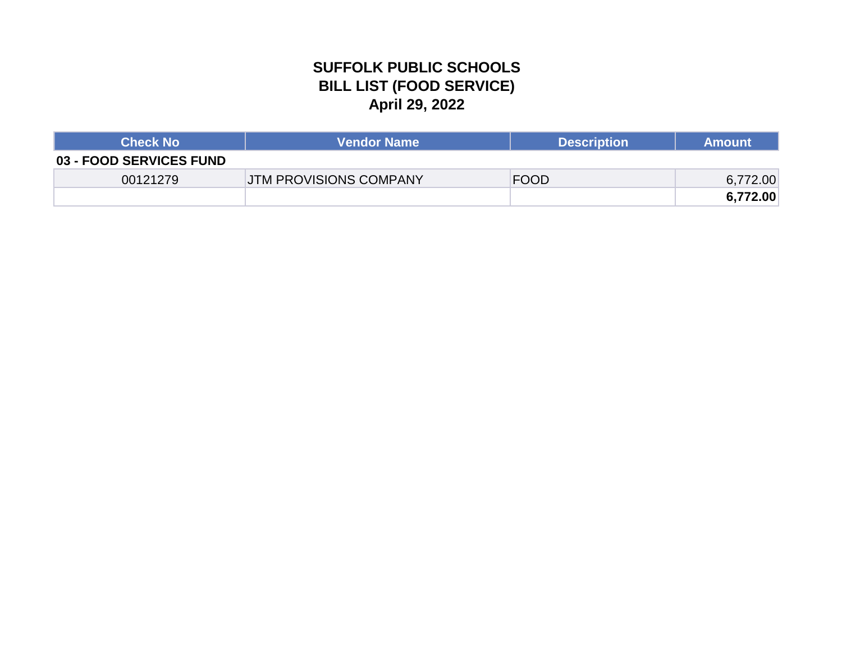# **SUFFOLK PUBLIC SCHOOLS BILL LIST (FOOD SERVICE) April 29, 2022**

| <b>Check No</b>         | <b>Vendor Name</b>            | <b>Description</b> | <b>Amount</b> |
|-------------------------|-------------------------------|--------------------|---------------|
| 03 - FOOD SERVICES FUND |                               |                    |               |
| 00121279                | <b>JTM PROVISIONS COMPANY</b> | <b>FOOD</b>        | 6,772.00      |
|                         |                               |                    | 6,772.00      |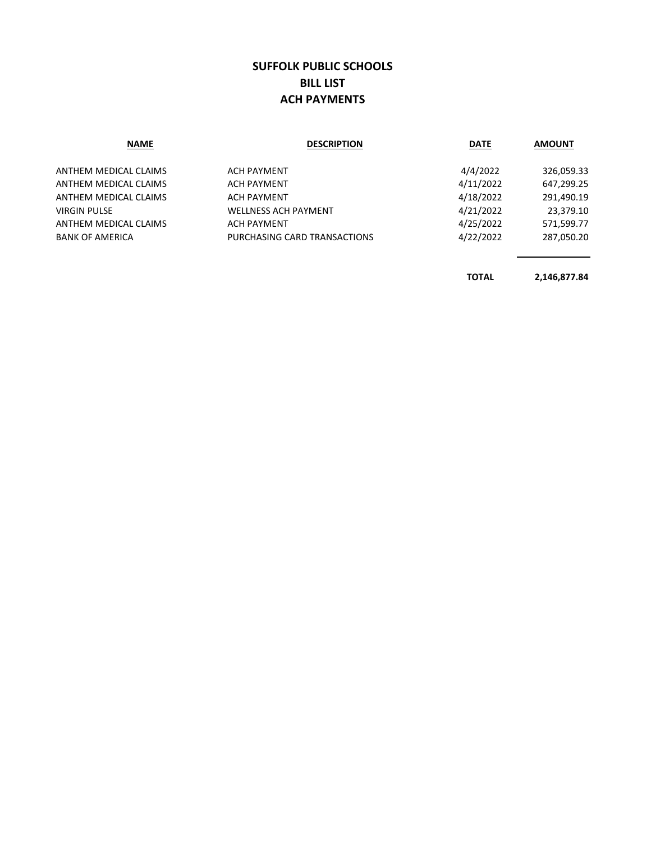### **SUFFOLK PUBLIC SCHOOLS BILL LIST ACH PAYMENTS**

| <b>NAME</b>            | <b>DESCRIPTION</b>           | <b>DATE</b> | <b>AMOUNT</b> |
|------------------------|------------------------------|-------------|---------------|
| ANTHEM MEDICAL CLAIMS  | <b>ACH PAYMENT</b>           | 4/4/2022    | 326,059.33    |
| ANTHEM MEDICAL CLAIMS  | <b>ACH PAYMENT</b>           | 4/11/2022   | 647,299.25    |
| ANTHEM MEDICAL CLAIMS  | <b>ACH PAYMENT</b>           | 4/18/2022   | 291,490.19    |
| <b>VIRGIN PULSE</b>    | <b>WELLNESS ACH PAYMENT</b>  | 4/21/2022   | 23,379.10     |
| ANTHEM MEDICAL CLAIMS  | <b>ACH PAYMENT</b>           | 4/25/2022   | 571,599.77    |
| <b>BANK OF AMERICA</b> | PURCHASING CARD TRANSACTIONS | 4/22/2022   | 287,050.20    |
|                        |                              |             |               |
|                        |                              |             |               |

**TOTAL 2,146,877.84**